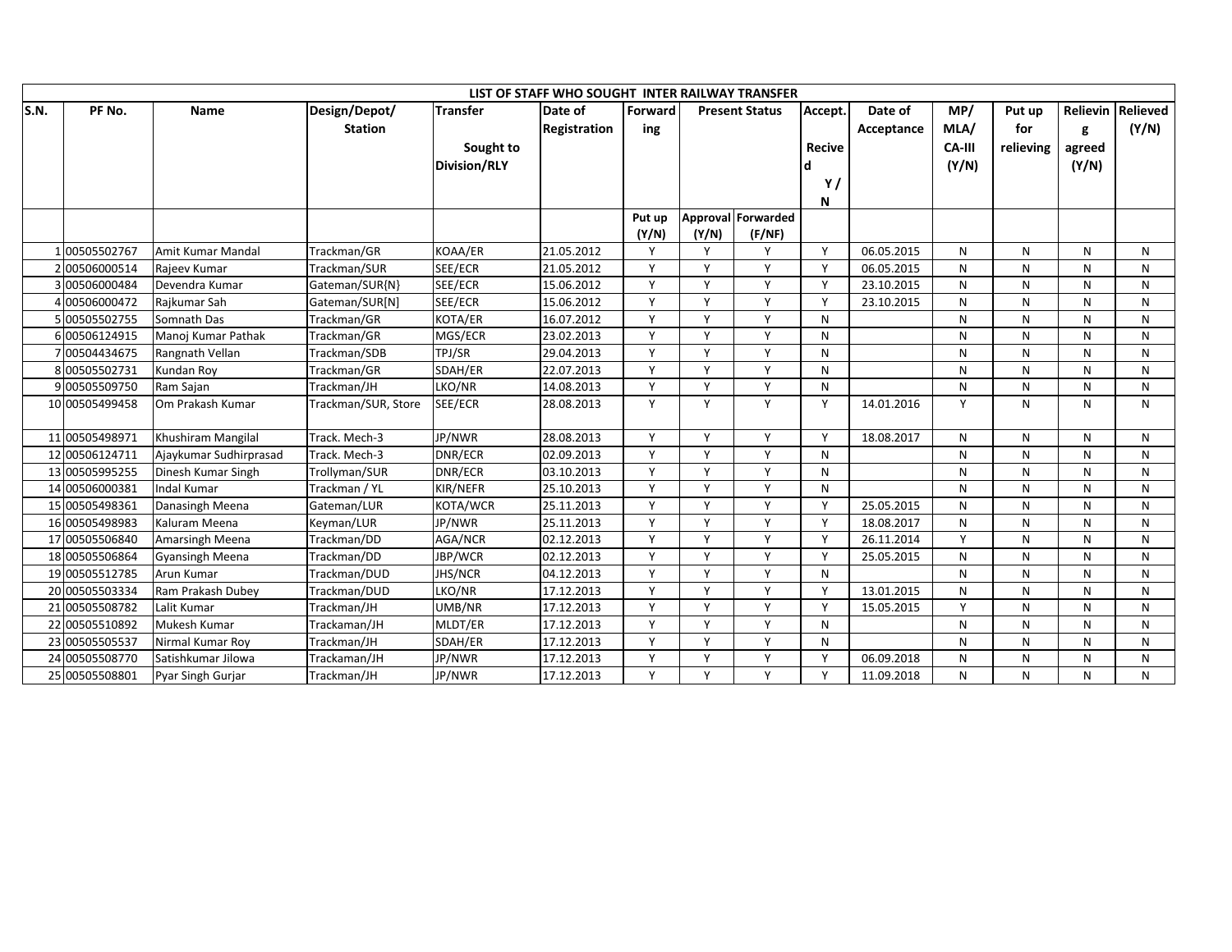|      |                |                        |                     |                     | LIST OF STAFF WHO SOUGHT INTER RAILWAY TRANSFER |              |          |                       |               |            |               |              |        |                   |
|------|----------------|------------------------|---------------------|---------------------|-------------------------------------------------|--------------|----------|-----------------------|---------------|------------|---------------|--------------|--------|-------------------|
| S.N. | PF No.         | Name                   | Design/Depot/       | <b>Transfer</b>     | Date of                                         | Forward      |          | <b>Present Status</b> | Accept.       | Date of    | MP/           | Put up       |        | Relievin Relieved |
|      |                |                        | <b>Station</b>      |                     | <b>Registration</b>                             | ing          |          |                       |               | Acceptance | MLA/          | for          | g      | (Y/N)             |
|      |                |                        |                     | Sought to           |                                                 |              |          |                       | <b>Recive</b> |            | <b>CA-III</b> | relieving    | agreed |                   |
|      |                |                        |                     | <b>Division/RLY</b> |                                                 |              |          |                       |               |            | (Y/N)         |              | (Y/N)  |                   |
|      |                |                        |                     |                     |                                                 |              |          |                       | Y/            |            |               |              |        |                   |
|      |                |                        |                     |                     |                                                 |              |          |                       | N             |            |               |              |        |                   |
|      |                |                        |                     |                     |                                                 | Put up       |          | Approval Forwarded    |               |            |               |              |        |                   |
|      |                |                        |                     |                     |                                                 | (Y/N)        | (Y/N)    | (F/NF)                |               |            |               |              |        |                   |
|      | 100505502767   | Amit Kumar Mandal      | Trackman/GR         | KOAA/ER             | 21.05.2012                                      | Y            | Y        | Υ                     | Y             | 06.05.2015 | N             | N            | N      | N                 |
|      | 2 00506000514  | Rajeev Kumar           | Trackman/SUR        | SEE/ECR             | 21.05.2012                                      | Y            | <b>V</b> | Y                     | Y             | 06.05.2015 | N             | N            | N      | N                 |
|      | 3 00506000484  | Devendra Kumar         | Gateman/SUR{N}      | SEE/ECR             | 15.06.2012                                      | Y            | Y        | Y                     | Y             | 23.10.2015 | N             | N            | N      | N                 |
|      | 4 00506000472  | Rajkumar Sah           | Gateman/SUR[N]      | SEE/ECR             | 15.06.2012                                      | Y            | Υ        | Y                     | Y             | 23.10.2015 | N             | N            | N      | N                 |
|      | 5 00505502755  | Somnath Das            | Trackman/GR         | KOTA/ER             | 16.07.2012                                      | $\mathsf{v}$ | V        | Y                     | N             |            | N             | N            | N      | N                 |
|      | 6 00506124915  | Manoj Kumar Pathak     | Trackman/GR         | MGS/ECR             | 23.02.2013                                      | Y            | Y        | Y                     | N             |            | N             | N            | N      | N                 |
|      | 7 00504434675  | Rangnath Vellan        | Trackman/SDB        | TPJ/SR              | 29.04.2013                                      | Y            | Y        | Y                     | N             |            | N             | N            | N      | N                 |
|      | 800505502731   | Kundan Roy             | Trackman/GR         | SDAH/ER             | 22.07.2013                                      | Y            | Y        | Y                     | N             |            | N             | N            | N      | N                 |
|      | 900505509750   | Ram Sajan              | Trackman/JH         | LKO/NR              | 14.08.2013                                      | Y            | Y        | Y                     | N             |            | N             | N            | N      | N                 |
|      | 10 00505499458 | Om Prakash Kumar       | Trackman/SUR, Store | SEE/ECR             | 28.08.2013                                      | Y            | Y        | Y                     | Y             | 14.01.2016 | Y             | N            | N      | N                 |
|      |                |                        |                     |                     |                                                 |              |          |                       |               |            |               |              |        |                   |
|      | 11 00505498971 | Khushiram Mangilal     | Track. Mech-3       | JP/NWR              | 28.08.2013                                      | Y            | Y        | Y                     | Y             | 18.08.2017 | N             | N            | N      | N                 |
|      | 12 00506124711 | Ajaykumar Sudhirprasad | Track. Mech-3       | DNR/ECR             | 02.09.2013                                      | Y            | Y        | Y                     | N             |            | N             | N            | N      | N                 |
|      | 13 00505995255 | Dinesh Kumar Singh     | Trollyman/SUR       | DNR/ECR             | 03.10.2013                                      | Y            | Y        | Y                     | N             |            | N             | N            | N      | N                 |
|      | 14 00506000381 | <b>Indal Kumar</b>     | Trackman / YL       | KIR/NEFR            | 25.10.2013                                      | v            | V        | Y                     | N             |            | N             | $\mathsf{N}$ | N      | $\mathsf{N}$      |
|      | 15 00505498361 | Danasingh Meena        | Gateman/LUR         | KOTA/WCR            | 25.11.2013                                      | Y            | Y        | Y                     | Y             | 25.05.2015 | N             | N            | N      | N                 |
|      | 16 00505498983 | Kaluram Meena          | Keyman/LUR          | JP/NWR              | 25.11.2013                                      | Y            | Y        | Y                     | Y             | 18.08.2017 | N             | N            | N      | N                 |
|      | 17 00505506840 | Amarsingh Meena        | Trackman/DD         | AGA/NCR             | 02.12.2013                                      | Y            | Y        | Y                     | Y             | 26.11.2014 | Y             | N            | N      | N                 |
|      | 18 00505506864 | <b>Gyansingh Meena</b> | Trackman/DD         | JBP/WCR             | 02.12.2013                                      | Y            | Y        | Y                     | Y             | 25.05.2015 | N             | N            | N      | N                 |
|      | 19 00505512785 | Arun Kumar             | Trackman/DUD        | <b>JHS/NCR</b>      | 04.12.2013                                      | Y            | Y        | Y                     | N             |            | N             | N            | N      | N                 |
|      | 20 00505503334 | Ram Prakash Dubey      | Trackman/DUD        | LKO/NR              | 17.12.2013                                      | Y            | Y        | Y                     | Y             | 13.01.2015 | N             | N            | N      | N                 |
|      | 21 00505508782 | Lalit Kumar            | Trackman/JH         | UMB/NR              | 17.12.2013                                      | Y            | Y        | Y                     | Y             | 15.05.2015 | Y             | N            | N      | $\mathsf{N}$      |
|      | 22 00505510892 | Mukesh Kumar           | Trackaman/JH        | MLDT/ER             | 17.12.2013                                      | Y            | Υ        | Y                     | N             |            | N             | N            | N      | N                 |
|      | 23 00505505537 | Nirmal Kumar Roy       | Trackman/JH         | SDAH/ER             | 17.12.2013                                      | $\mathsf{v}$ | Y        | Y                     | N             |            | N             | N            | N      | N                 |
|      | 24 00505508770 | Satishkumar Jilowa     | Trackaman/JH        | JP/NWR              | 17.12.2013                                      | Y            | Y        | Y                     | Y             | 06.09.2018 | N             | N            | N      | N                 |
|      | 25 00505508801 | Pyar Singh Gurjar      | Trackman/JH         | JP/NWR              | 17.12.2013                                      | Y            | Y        | Y                     | Y             | 11.09.2018 | N             | N            | N      | N                 |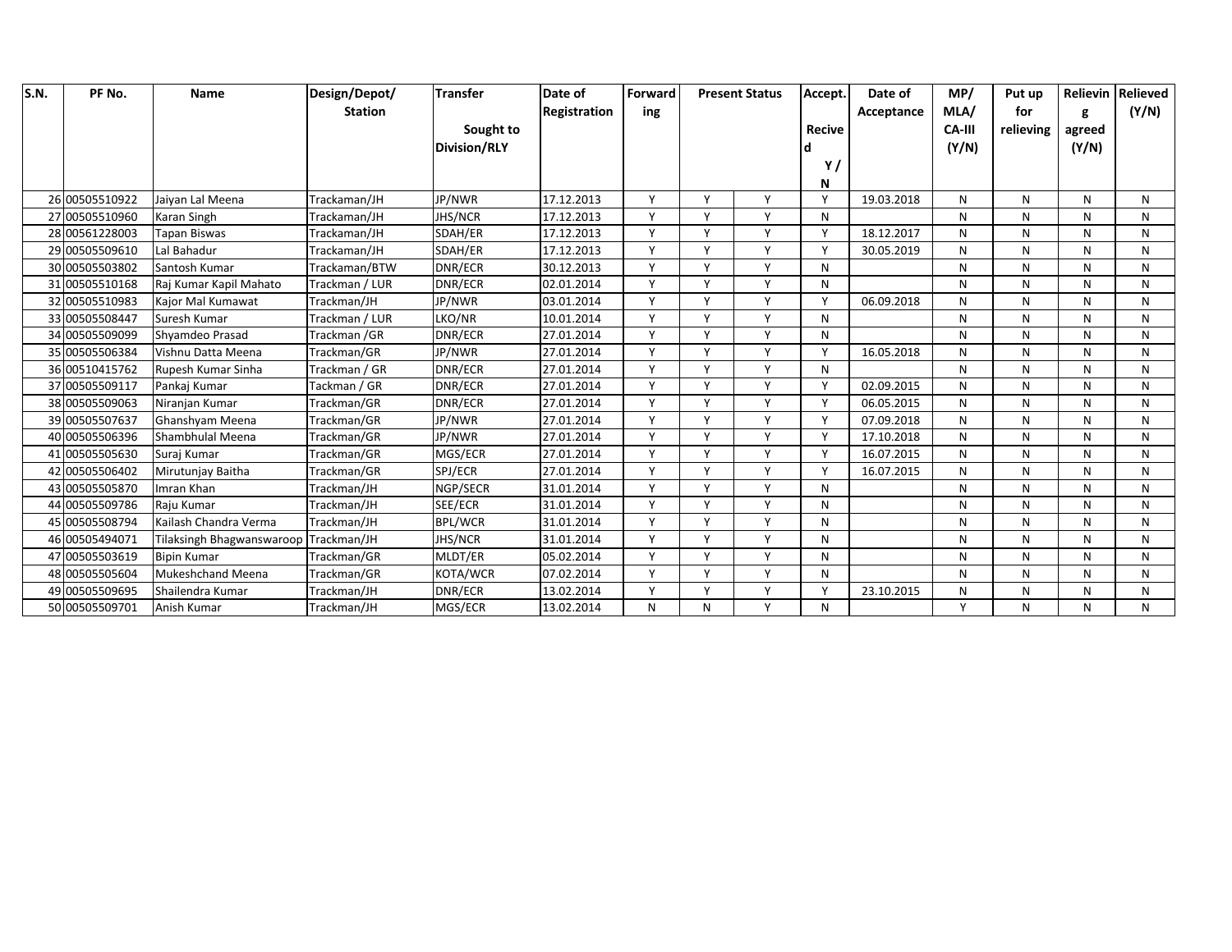| S.N. | PF No.         | <b>Name</b>               | Design/Depot/  | <b>Transfer</b>     | Date of      | Forward      |              | <b>Present Status</b> | Accept.       | Date of    | MP/           | Put up    |        | <b>Relievin Relieved</b> |
|------|----------------|---------------------------|----------------|---------------------|--------------|--------------|--------------|-----------------------|---------------|------------|---------------|-----------|--------|--------------------------|
|      |                |                           | <b>Station</b> |                     | Registration | ing          |              |                       |               | Acceptance | MLA/          | for       | g      | (Y/N)                    |
|      |                |                           |                | Sought to           |              |              |              |                       | <b>Recive</b> |            | <b>CA-III</b> | relieving | agreed |                          |
|      |                |                           |                | <b>Division/RLY</b> |              |              |              |                       |               |            | (Y/N)         |           | (Y/N)  |                          |
|      |                |                           |                |                     |              |              |              |                       | Y,            |            |               |           |        |                          |
|      |                |                           |                |                     |              |              |              |                       | N             |            |               |           |        |                          |
|      | 26 00505510922 | Jaivan Lal Meena          | Trackaman/JH   | JP/NWR              | 17.12.2013   | $\checkmark$ | $\checkmark$ | Y                     | Y             | 19.03.2018 | N             | N         | N      | N                        |
|      | 27 00505510960 | Karan Singh               | Trackaman/JH   | <b>JHS/NCR</b>      | 17.12.2013   | <b>V</b>     | v            | Y                     | N             |            | N             | N         | N      | N                        |
|      | 28 00561228003 | <b>Tapan Biswas</b>       | Trackaman/JH   | SDAH/ER             | 17.12.2013   | $\vee$       | Y            | Y                     | Y             | 18.12.2017 | N             | N         | N      | N                        |
|      | 29 00505509610 | Lal Bahadur               | Trackaman/JH   | SDAH/ER             | 17.12.2013   | $\mathsf{v}$ | $\checkmark$ | Y                     | Y             | 30.05.2019 | N             | N         | N      | N                        |
|      | 30 00505503802 | Santosh Kumar             | Trackaman/BTW  | DNR/ECR             | 30.12.2013   | $\mathbf v$  | $\checkmark$ | Y                     | N             |            | N             | N         | N      | N                        |
|      | 31 00505510168 | Raj Kumar Kapil Mahato    | Trackman / LUR | DNR/ECR             | 02.01.2014   | $\mathsf{v}$ | v            | Υ                     | N             |            | N             | N         | N      | N                        |
|      | 32 00505510983 | Kajor Mal Kumawat         | Trackman/JH    | JP/NWR              | 03.01.2014   | v            | Y            | Υ                     | Y             | 06.09.2018 | N             | N         | N      | N                        |
|      | 33 00505508447 | Suresh Kumar              | Trackman / LUR | LKO/NR              | 10.01.2014   | $\mathsf{v}$ | $\mathsf{v}$ | Y                     | N             |            | N             | N         | N      | N                        |
|      | 34 00505509099 | Shyamdeo Prasad           | Trackman /GR   | DNR/ECR             | 27.01.2014   |              | $\mathbf v$  | $\mathsf{v}$          | N             |            | N             | N         | N      | N                        |
|      | 35 00505506384 | Vishnu Datta Meena        | Trackman/GR    | JP/NWR              | 27.01.2014   | $\mathsf{v}$ | $\checkmark$ | Y                     | Y             | 16.05.2018 | N             | N         | N      | N                        |
|      | 36 00510415762 | Rupesh Kumar Sinha        | Trackman / GR  | DNR/ECR             | 27.01.2014   | $\vee$       | v            | Y                     | N             |            | N             | N         | N      | N                        |
|      | 37 00505509117 | Pankaj Kumar              | Tackman / GR   | DNR/ECR             | 27.01.2014   | $\mathsf{v}$ | $\mathsf{v}$ | Y                     | Y             | 02.09.2015 | N             | N         | N      | N                        |
|      | 38 00505509063 | Niranjan Kumar            | Trackman/GR    | DNR/ECR             | 27.01.2014   | $\mathsf{v}$ | $\checkmark$ | Y                     | Y             | 06.05.2015 | N             | N         | N      | N                        |
|      | 39 00505507637 | Ghanshyam Meena           | Trackman/GR    | JP/NWR              | 27.01.2014   | $\mathbf v$  | $\checkmark$ | Y                     | Y             | 07.09.2018 | N             | N         | N      | N                        |
|      | 40 00505506396 | Shambhulal Meena          | Trackman/GR    | JP/NWR              | 27.01.2014   | v            | Y            | Y                     | Y             | 17.10.2018 | N             | N         | N      | N                        |
|      | 41 00505505630 | Suraj Kumar               | Trackman/GR    | MGS/ECR             | 27.01.2014   | $\vee$       | v            | Y                     | Y             | 16.07.2015 | N             | N         | N      | N                        |
|      | 42 00505506402 | Mirutunjay Baitha         | Trackman/GR    | SPJ/ECR             | 27.01.2014   | $\mathsf{v}$ | $\checkmark$ | Y                     | Y             | 16.07.2015 | N             | N         | N      | N                        |
|      | 43 00505505870 | Imran Khan                | Trackman/JH    | NGP/SECR            | 31.01.2014   | $\mathsf{v}$ | $\checkmark$ | Y                     | N             |            | N             | N         | N      | N                        |
|      | 44 00505509786 | Raju Kumar                | Trackman/JH    | SEE/ECR             | 31.01.2014   | $\mathsf{v}$ | $\mathsf{v}$ | Y                     | N             |            | N             | N         | N      | N                        |
|      | 45 00505508794 | Kailash Chandra Verma     | Trackman/JH    | <b>BPL/WCR</b>      | 31.01.2014   | $\vee$       | Y            | Υ                     | N             |            | N             | N         | N      | N                        |
|      | 46 00505494071 | Tilaksingh Bhagwanswaroop | Trackman/JH    | <b>JHS/NCR</b>      | 31.01.2014   | $\mathsf{v}$ | $\vee$       | Y                     | N             |            | N             | N         | N      | N                        |
|      | 47 00505503619 | <b>Bipin Kumar</b>        | Trackman/GR    | MLDT/ER             | 05.02.2014   | $\mathbf v$  | $\checkmark$ | V                     | N             |            | N             | N         | N      | N                        |
|      | 48 00505505604 | <b>Mukeshchand Meena</b>  | Trackman/GR    | KOTA/WCR            | 07.02.2014   | $\mathbf v$  | $\vee$       | Y                     | N             |            | N             | N         | N      | N                        |
|      | 49 00505509695 | Shailendra Kumar          | Trackman/JH    | DNR/ECR             | 13.02.2014   | $\mathsf{v}$ | v            | Υ                     | Y             | 23.10.2015 | N             | N         | N      | N                        |
|      | 50 00505509701 | Anish Kumar               | Trackman/JH    | MGS/ECR             | 13.02.2014   | N            | N            | Y                     | N             |            | Y             | N         | N      | N                        |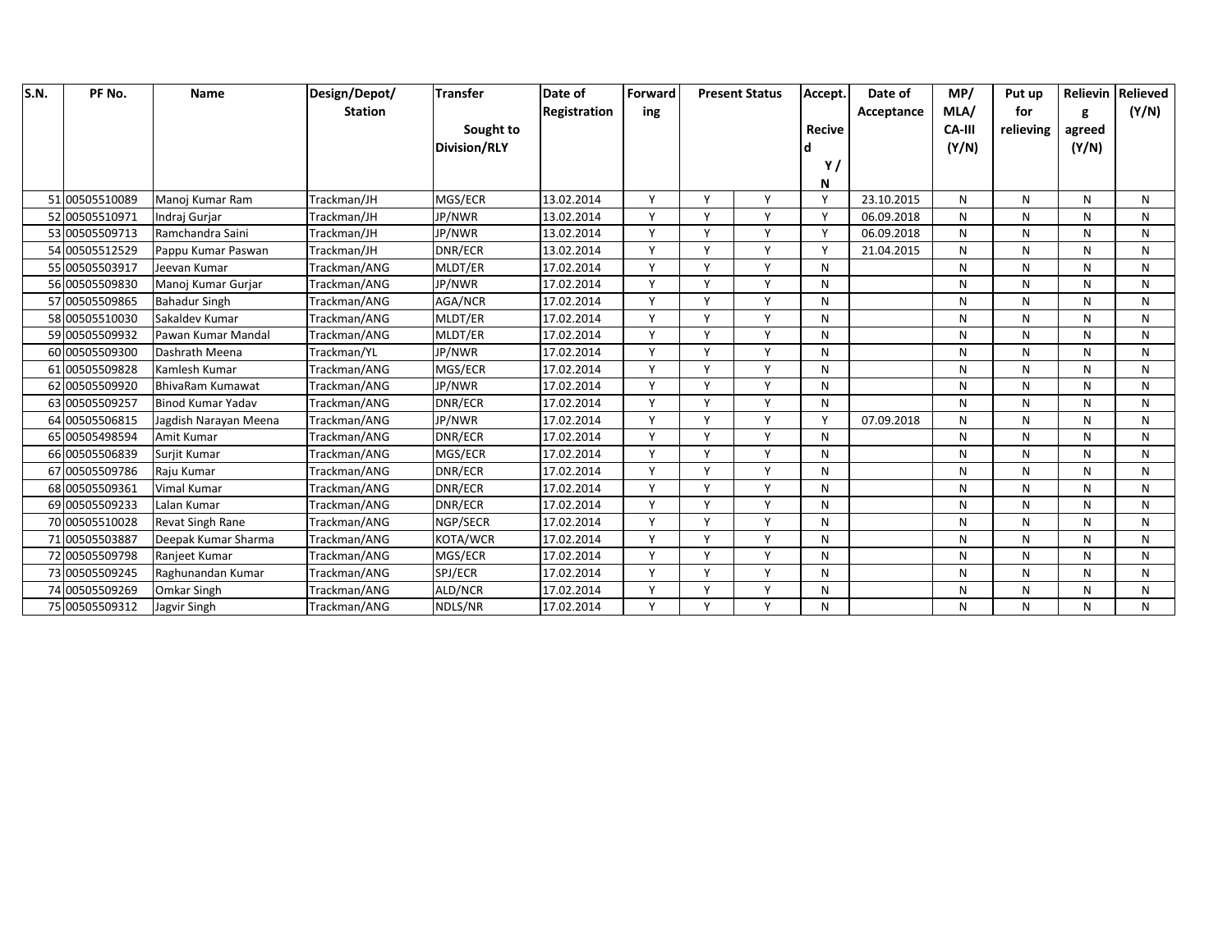| S.N. | PF No.         | <b>Name</b>              | Design/Depot/  | <b>Transfer</b>     | Date of      | Forward      |              | <b>Present Status</b> | Accept.       | Date of    | MP/           | Put up    |        | Relievin Relieved |
|------|----------------|--------------------------|----------------|---------------------|--------------|--------------|--------------|-----------------------|---------------|------------|---------------|-----------|--------|-------------------|
|      |                |                          | <b>Station</b> |                     | Registration | ing          |              |                       |               | Acceptance | MLA/          | for       |        | (Y/N)             |
|      |                |                          |                | Sought to           |              |              |              |                       | <b>Recive</b> |            | <b>CA-III</b> | relieving | agreed |                   |
|      |                |                          |                | <b>Division/RLY</b> |              |              |              |                       |               |            | (Y/N)         |           | (Y/N)  |                   |
|      |                |                          |                |                     |              |              |              |                       | Y,            |            |               |           |        |                   |
|      |                |                          |                |                     |              |              |              |                       | N             |            |               |           |        |                   |
|      | 51 00505510089 | Manoj Kumar Ram          | Trackman/JH    | MGS/ECR             | 13.02.2014   | $\checkmark$ | $\checkmark$ | Y                     | Y             | 23.10.2015 | N             | N         | N      | N                 |
|      | 52 00505510971 | Indraj Gurjar            | Trackman/JH    | JP/NWR              | 13.02.2014   | Y            | $\mathsf{v}$ | Y                     | Y             | 06.09.2018 | N             | N         | N      | N                 |
|      | 53 00505509713 | Ramchandra Saini         | Trackman/JH    | JP/NWR              | 13.02.2014   | $\mathsf{v}$ | $\mathsf{v}$ | Y                     | Y             | 06.09.2018 | N             | N         | N      | N                 |
|      | 54 00505512529 | Pappu Kumar Paswan       | Trackman/JH    | DNR/ECR             | 13.02.2014   | $\mathsf{v}$ | $\checkmark$ | Y                     | Y             | 21.04.2015 | N             | N         | N      | N                 |
|      | 55 00505503917 | Jeevan Kumar             | Trackman/ANG   | MLDT/ER             | 17.02.2014   | $\checkmark$ | $\lambda$    | $\vee$                | N             |            | N             | N         | N      | N                 |
|      | 56 00505509830 | Manoj Kumar Gurjar       | Trackman/ANG   | JP/NWR              | 17.02.2014   | $\mathsf{v}$ | $\checkmark$ | Υ                     | N             |            | N             | N         | N      | N                 |
|      | 57 00505509865 | <b>Bahadur Singh</b>     | Trackman/ANG   | AGA/NCR             | 17.02.2014   | Y            | Y            | Y                     | N             |            | N             | N         | N      | N                 |
|      | 58 00505510030 | Sakaldev Kumar           | Trackman/ANG   | MLDT/ER             | 17.02.2014   | $\mathsf{v}$ | $\vee$       | Y                     | N             |            | N             | N         | N      | N                 |
|      | 59 00505509932 | Pawan Kumar Mandal       | Trackman/ANG   | MLDT/ER             | 17.02.2014   | $\mathsf{v}$ | $\mathbf v$  | v                     | N             |            | N             | N         | N      | N                 |
|      | 60 00505509300 | Dashrath Meena           | Trackman/YL    | JP/NWR              | 17.02.2014   | $\mathsf{v}$ | $\checkmark$ | Y                     | N             |            | N             | N         | N      | N                 |
|      | 61 00505509828 | Kamlesh Kumar            | Trackman/ANG   | MGS/ECR             | 17.02.2014   | $\vee$       | $\mathsf{v}$ | Υ                     | N             |            | N             | N         | N      | N                 |
|      | 62 00505509920 | <b>BhivaRam Kumawat</b>  | Trackman/ANG   | JP/NWR              | 17.02.2014   | v            | $\mathsf{v}$ | Y                     | N             |            | N             | N         | N      | N                 |
|      | 63 00505509257 | <b>Binod Kumar Yadav</b> | Trackman/ANG   | DNR/ECR             | 17.02.2014   | $\mathbf v$  | $\mathbf v$  | v                     | N             |            | N             | N         | N      | N                 |
|      | 64 00505506815 | Jagdish Narayan Meena    | Trackman/ANG   | JP/NWR              | 17.02.2014   | $\checkmark$ | $\checkmark$ | Y                     | Y             | 07.09.2018 | N             | N         | N      | N                 |
|      | 65 00505498594 | Amit Kumar               | Trackman/ANG   | DNR/ECR             | 17.02.2014   | v            | $\checkmark$ | Y                     | N             |            | N             | N         | N      | N                 |
|      | 66 00505506839 | Surjit Kumar             | Trackman/ANG   | MGS/ECR             | 17.02.2014   | $\vee$       | $\checkmark$ | Y                     | N             |            | N             | N         | N      | N                 |
|      | 67 00505509786 | Raju Kumar               | Trackman/ANG   | DNR/ECR             | 17.02.2014   | v            | $\mathsf{v}$ | Υ                     | N             |            | N             | N         | N      | N                 |
|      | 68 00505509361 | Vimal Kumar              | Trackman/ANG   | DNR/ECR             | 17.02.2014   | $\mathsf{v}$ | $\checkmark$ | $\vee$                | N             |            | N             | N         | N      | N                 |
|      | 69 00505509233 | Lalan Kumar              | Trackman/ANG   | DNR/ECR             | 17.02.2014   | $\vee$       | $\mathbf v$  | Y                     | N             |            | N             | N         | N      | N                 |
|      | 70 00505510028 | Revat Singh Rane         | Trackman/ANG   | NGP/SECR            | 17.02.2014   | $\vee$       | $\checkmark$ | Y                     | N             |            | N             | N         | N      | N                 |
|      | 71 00505503887 | Deepak Kumar Sharma      | Trackman/ANG   | KOTA/WCR            | 17.02.2014   | v            | Y            | Y                     | N             |            | N             | N         | N      | N                 |
|      | 72 00505509798 | Ranjeet Kumar            | Trackman/ANG   | MGS/ECR             | 17.02.2014   | $\mathsf{v}$ | $\mathbf v$  | v                     | N             |            | N             | N         | N      | N                 |
|      | 73 00505509245 | Raghunandan Kumar        | Trackman/ANG   | SPJ/ECR             | 17.02.2014   | v            | $\checkmark$ | Υ                     | N             |            | N             | N         | N      | N                 |
|      | 74 00505509269 | Omkar Singh              | Trackman/ANG   | ALD/NCR             | 17.02.2014   | $\vee$       | $\vee$       | Y                     | N             |            | N             | N         | N      | N                 |
|      | 75 00505509312 | Jagvir Singh             | Trackman/ANG   | NDLS/NR             | 17.02.2014   | v            | $\vee$       | Y                     | N             |            | N             | N         | N      | N                 |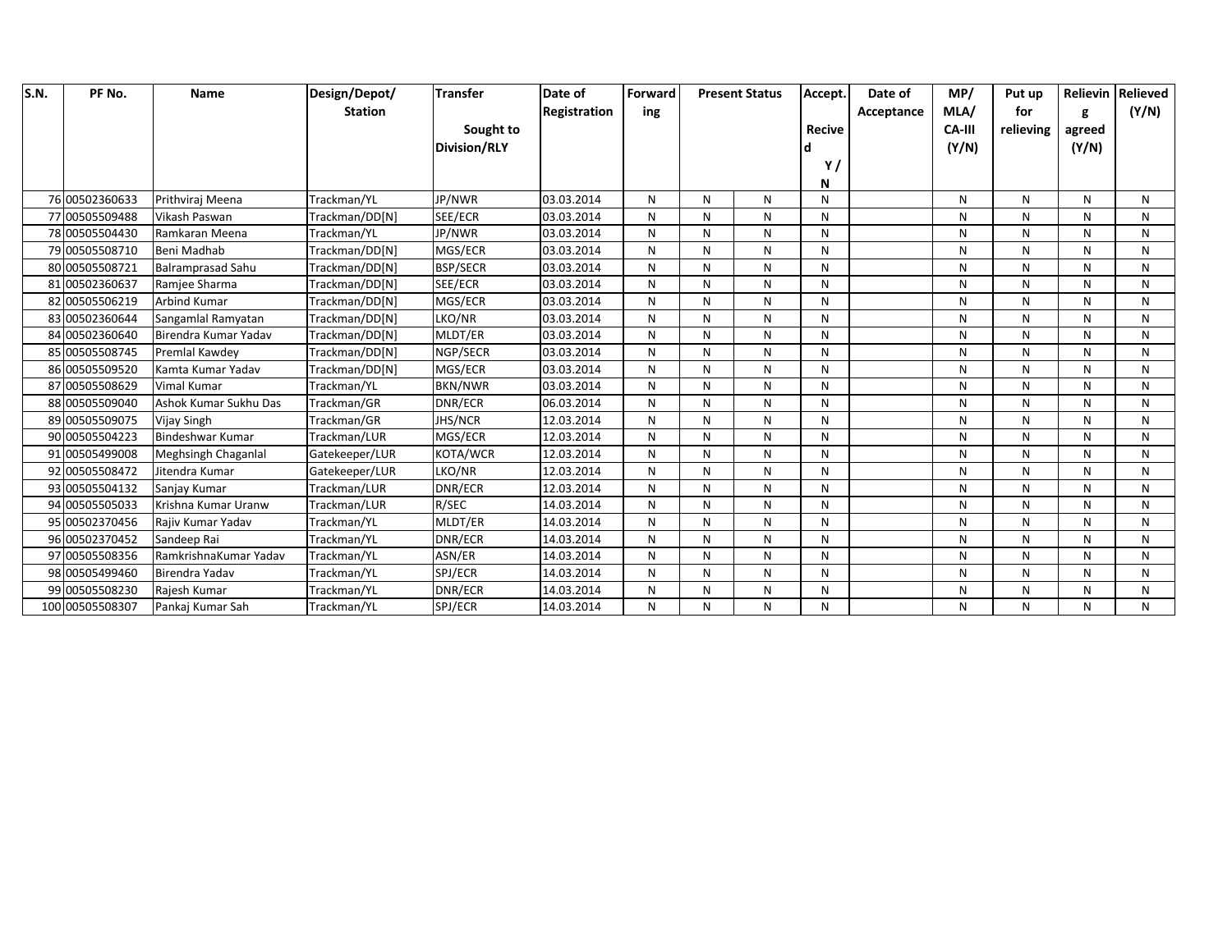| S.N. | PF No.          | <b>Name</b>              | Design/Depot/  | <b>Transfer</b>     | Date of      | Forward |   | <b>Present Status</b> | Accept.       | Date of    | MP/           | Put up    |        | Relievin Relieved |
|------|-----------------|--------------------------|----------------|---------------------|--------------|---------|---|-----------------------|---------------|------------|---------------|-----------|--------|-------------------|
|      |                 |                          | <b>Station</b> |                     | Registration | ing     |   |                       |               | Acceptance | MLA/          | for       |        | (Y/N)             |
|      |                 |                          |                | Sought to           |              |         |   |                       | <b>Recive</b> |            | <b>CA-III</b> | relieving | agreed |                   |
|      |                 |                          |                | <b>Division/RLY</b> |              |         |   |                       |               |            | (Y/N)         |           | (Y/N)  |                   |
|      |                 |                          |                |                     |              |         |   |                       | Y,            |            |               |           |        |                   |
|      |                 |                          |                |                     |              |         |   |                       | N             |            |               |           |        |                   |
|      | 76 00502360633  | Prithviraj Meena         | Trackman/YL    | JP/NWR              | 03.03.2014   | N       | N | N                     | N             |            | N             | N         | N      | N                 |
|      | 77 00505509488  | Vikash Paswan            | Trackman/DD[N] | SEE/ECR             | 03.03.2014   | N       | N | N                     | N             |            | N             | N         | N      | N                 |
|      | 78 00505504430  | Ramkaran Meena           | Trackman/YL    | JP/NWR              | 03.03.2014   | N       | N | N                     | N             |            | N             | N         | N      | N                 |
|      | 79 00505508710  | Beni Madhab              | Trackman/DD[N] | MGS/ECR             | 03.03.2014   | N       | N | N                     | N             |            | N             | N         | N      | N                 |
|      | 80 00505508721  | <b>Balramprasad Sahu</b> | Trackman/DD[N] | <b>BSP/SECR</b>     | 03.03.2014   | N       | N | N                     | N             |            | N             | N         | N      | N                 |
|      | 81 00502360637  | Ramjee Sharma            | Trackman/DD[N] | SEE/ECR             | 03.03.2014   | N       | N | N                     | N             |            | N             | N         | N      | N                 |
|      | 82 00505506219  | <b>Arbind Kumar</b>      | Trackman/DD[N] | MGS/ECR             | 03.03.2014   | N       | N | $\mathsf{N}$          | N             |            | N             | N         | N      | N                 |
|      | 83 00502360644  | Sangamlal Ramyatan       | Trackman/DD[N] | LKO/NR              | 03.03.2014   | N       | N | N                     | N             |            | N             | N         | N      | N                 |
|      | 84 00502360640  | Birendra Kumar Yadav     | Trackman/DD[N] | MLDT/ER             | 03.03.2014   | N       | N | N                     | N             |            | N             | N         | N      | N                 |
|      | 85 00505508745  | Premlal Kawdey           | Trackman/DD[N] | NGP/SECR            | 03.03.2014   | N       | N | N                     | N             |            | N             | N         | N      | N                 |
|      | 86 00505509520  | Kamta Kumar Yadav        | Trackman/DD[N] | MGS/ECR             | 03.03.2014   | N       | N | N                     | N             |            | N             | N         | N      | N                 |
|      | 87 00505508629  | <b>Vimal Kumar</b>       | Trackman/YL    | <b>BKN/NWR</b>      | 03.03.2014   | N       | N | N                     | N             |            | N             | N         | N      | N                 |
|      | 88 00505509040  | Ashok Kumar Sukhu Das    | Trackman/GR    | DNR/ECR             | 06.03.2014   | N       | N | N                     | N             |            | N             | N         | N      | N                 |
|      | 89 00505509075  | Vijay Singh              | Trackman/GR    | <b>JHS/NCR</b>      | 12.03.2014   | N       | N | N                     | N             |            | N             | N         | N      | N                 |
|      | 90 00505504223  | <b>Bindeshwar Kumar</b>  | Trackman/LUR   | MGS/ECR             | 12.03.2014   | N       | N | $\mathsf{N}$          | N             |            | N             | N         | N      | N                 |
|      | 91 00505499008  | Meghsingh Chaganlal      | Gatekeeper/LUR | KOTA/WCR            | 12.03.2014   | N       | N | N                     | N             |            | N             | N         | N      | N                 |
|      | 92 00505508472  | Jitendra Kumar           | Gatekeeper/LUR | LKO/NR              | 12.03.2014   | N       | N | ${\sf N}$             | N             |            | N             | N         | N      | N                 |
|      | 93 00505504132  | Sanjay Kumar             | Trackman/LUR   | DNR/ECR             | 12.03.2014   | N       | N | N                     | N             |            | N             | N         | N      | N                 |
|      | 94 00505505033  | Krishna Kumar Uranw      | Trackman/LUR   | R/SEC               | 14.03.2014   | N       | N | N                     | N             |            | N             | N         | N      | N                 |
|      | 95 00502370456  | Rajiv Kumar Yadav        | Trackman/YL    | MLDT/ER             | 14.03.2014   | N       | N | N                     | N             |            | N             | N         | N      | N                 |
|      | 96 00502370452  | Sandeep Rai              | Trackman/YL    | DNR/ECR             | 14.03.2014   | N       | N | N                     | N             |            | N             | N         | N      | N                 |
|      | 97 00505508356  | RamkrishnaKumar Yadav    | Trackman/YL    | ASN/ER              | 14.03.2014   | N       | N | N                     | N             |            | N             | N         | N      | N                 |
|      | 98 00505499460  | Birendra Yadav           | Trackman/YL    | SPJ/ECR             | 14.03.2014   | N       | N | N                     | N             |            | N             | N         | N      | N                 |
|      | 99 00505508230  | Rajesh Kumar             | Trackman/YL    | DNR/ECR             | 14.03.2014   | N       | N | ${\sf N}$             | N             |            | N             | N         | N      | N                 |
|      | 100 00505508307 | Pankaj Kumar Sah         | Trackman/YL    | SPJ/ECR             | 14.03.2014   | N       | N | N                     | N             |            | N             | N         | N      | N                 |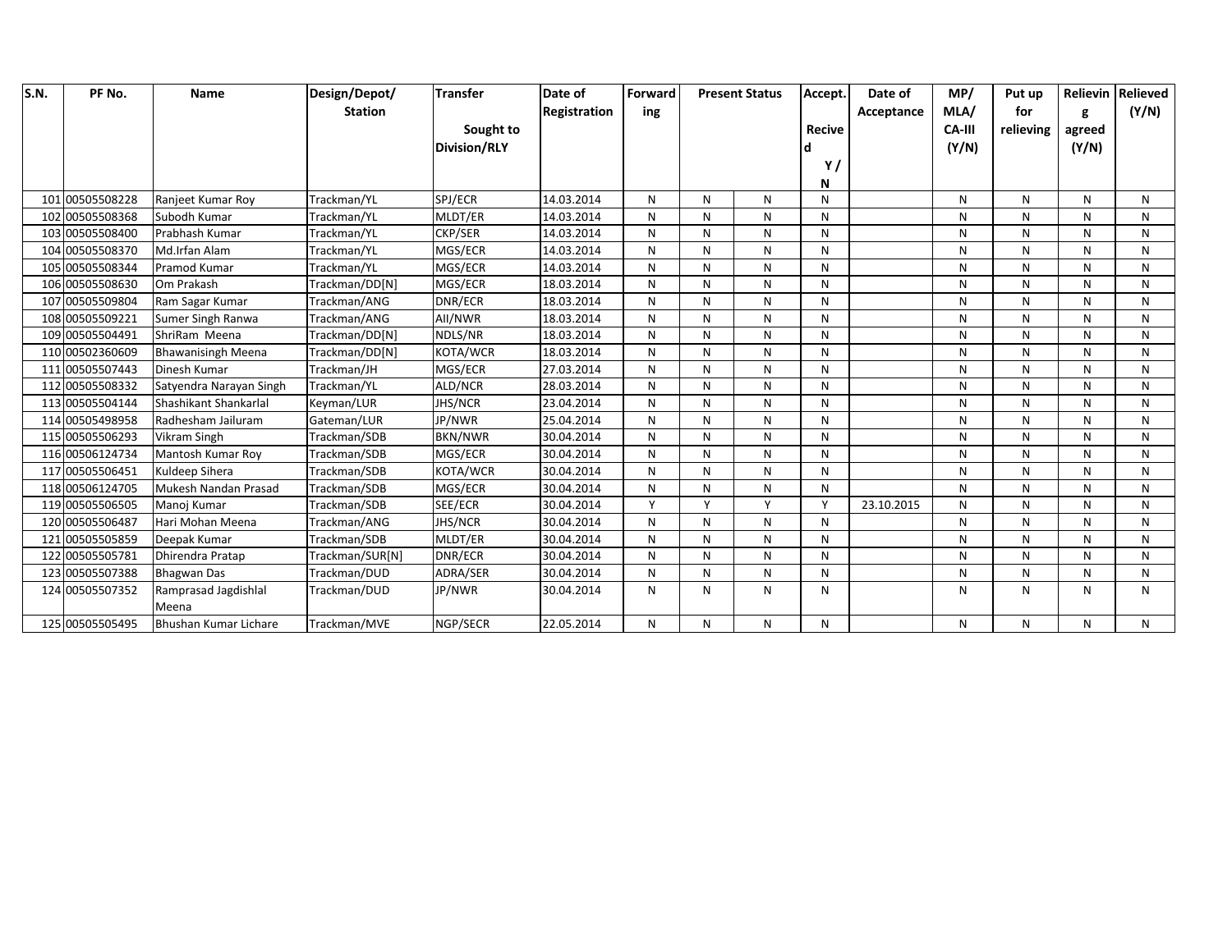| S.N. | PF No.          | Name                      | Design/Depot/   | <b>Transfer</b>     | Date of      | Forward      |              | <b>Present Status</b> | Accept.       | Date of    | MP/           | Put up    |        | Relievin Relieved |
|------|-----------------|---------------------------|-----------------|---------------------|--------------|--------------|--------------|-----------------------|---------------|------------|---------------|-----------|--------|-------------------|
|      |                 |                           | <b>Station</b>  |                     | Registration | ing          |              |                       |               | Acceptance | MLA/          | for       | g      | (Y/N)             |
|      |                 |                           |                 | Sought to           |              |              |              |                       | <b>Recive</b> |            | <b>CA-III</b> | relieving | agreed |                   |
|      |                 |                           |                 | <b>Division/RLY</b> |              |              |              |                       |               |            | (Y/N)         |           | (Y/N)  |                   |
|      |                 |                           |                 |                     |              |              |              |                       | Y,            |            |               |           |        |                   |
|      |                 |                           |                 |                     |              |              |              |                       | N             |            |               |           |        |                   |
|      | 101 00505508228 | Ranjeet Kumar Roy         | Trackman/YL     | SPJ/ECR             | 14.03.2014   | N            | N            | N                     | N             |            | N             | N         | N      | N                 |
|      | 102 00505508368 | Subodh Kumar              | Trackman/YL     | MLDT/ER             | 14.03.2014   | N            | N            | N                     | N             |            | N             | N         | N      | N                 |
|      | 103 00505508400 | Prabhash Kumar            | Trackman/YL     | <b>CKP/SER</b>      | 14.03.2014   | N            | N            | N                     | N             |            | N             | N         | N      | N                 |
|      | 104 00505508370 | Md.Irfan Alam             | Trackman/YL     | MGS/ECR             | 14.03.2014   | N            | N            | N                     | N             |            | N             | N         | N      | N                 |
|      | 105 00505508344 | Pramod Kumar              | Trackman/YL     | MGS/ECR             | 14.03.2014   | N            | N            | ${\sf N}$             | N             |            | N             | N         | N      | N                 |
|      | 106 00505508630 | Om Prakash                | Trackman/DD[N]  | MGS/ECR             | 18.03.2014   | N            | N            | N                     | N             |            | N             | N         | N      | N                 |
|      | 107 00505509804 | Ram Sagar Kumar           | Trackman/ANG    | DNR/ECR             | 18.03.2014   | N            | N            | N                     | N             |            | N             | N         | N      | N                 |
|      | 108 00505509221 | Sumer Singh Ranwa         | Trackman/ANG    | All/NWR             | 18.03.2014   | N            | N            | ${\sf N}$             | И             |            | N             | N         | N      | N                 |
|      | 109 00505504491 | ShriRam Meena             | Trackman/DD[N]  | NDLS/NR             | 18.03.2014   | N            | N            | N                     | N             |            | N             | N         | N      | N                 |
|      | 110 00502360609 | <b>Bhawanisingh Meena</b> | Trackman/DD[N]  | KOTA/WCR            | 18.03.2014   | N            | N            | N                     | N             |            | N             | N         | N      | N                 |
|      | 111 00505507443 | Dinesh Kumar              | Trackman/JH     | MGS/ECR             | 27.03.2014   | N            | N            | N                     | N             |            | N             | N         | N      | N                 |
|      | 112 00505508332 | Satyendra Narayan Singh   | Trackman/YL     | ALD/NCR             | 28.03.2014   | N            | N            | N                     | N             |            | N             | N         | N      | N                 |
|      | 113 00505504144 | Shashikant Shankarlal     | Keyman/LUR      | <b>JHS/NCR</b>      | 23.04.2014   | N            | N            | $\mathsf{N}$          | N             |            | N             | N         | N      | N                 |
|      | 114 00505498958 | Radhesham Jailuram        | Gateman/LUR     | JP/NWR              | 25.04.2014   | N            | N            | $\mathsf{N}$          | N             |            | N             | N         | N      | N                 |
|      | 115 00505506293 | Vikram Singh              | Trackman/SDB    | <b>BKN/NWR</b>      | 30.04.2014   | N            | N            | N                     | Ν             |            | N             | Ν         | N      | N                 |
|      | 116 00506124734 | Mantosh Kumar Roy         | Trackman/SDB    | MGS/ECR             | 30.04.2014   | N            | N            | N                     | N             |            | N             | N         | N      | N                 |
|      | 117 00505506451 | Kuldeep Sihera            | Trackman/SDB    | KOTA/WCR            | 30.04.2014   | N            | N            | $\mathsf{N}$          | N             |            | N             | N         | N      | N                 |
|      | 118 00506124705 | Mukesh Nandan Prasad      | Trackman/SDB    | MGS/ECR             | 30.04.2014   | N            | N            | N                     | N             |            | N             | N         | N      | N                 |
|      | 119 00505506505 | Manoj Kumar               | Trackman/SDB    | SEE/ECR             | 30.04.2014   | $\mathsf{v}$ | $\mathsf{v}$ | Y                     | Y             | 23.10.2015 | N             | N         | N      | N                 |
|      | 120 00505506487 | Hari Mohan Meena          | Trackman/ANG    | <b>JHS/NCR</b>      | 30.04.2014   | N            | N            | N                     | N             |            | N             | N         | N      | N                 |
|      | 121 00505505859 | Deepak Kumar              | Trackman/SDB    | MLDT/ER             | 30.04.2014   | N            | N            | N                     | N             |            | N             | N         | N      | N                 |
|      | 122 00505505781 | Dhirendra Pratap          | Trackman/SUR[N] | DNR/ECR             | 30.04.2014   | N            | N            | N                     | N             |            | N             | N         | N      | N                 |
|      | 123 00505507388 | <b>Bhagwan Das</b>        | Trackman/DUD    | ADRA/SER            | 30.04.2014   | N            | N            | $\mathsf{N}$          | N             |            | N             | N         | N      | N                 |
|      | 124 00505507352 | Ramprasad Jagdishlal      | Trackman/DUD    | JP/NWR              | 30.04.2014   | N            | N            | ${\sf N}$             | И             |            | N             | N         | N      | N                 |
|      |                 | Meena                     |                 |                     |              |              |              |                       |               |            |               |           |        |                   |
|      | 125 00505505495 | Bhushan Kumar Lichare     | Trackman/MVE    | NGP/SECR            | 22.05.2014   | N            | N            | N                     | N             |            | N             | N         | N      | N                 |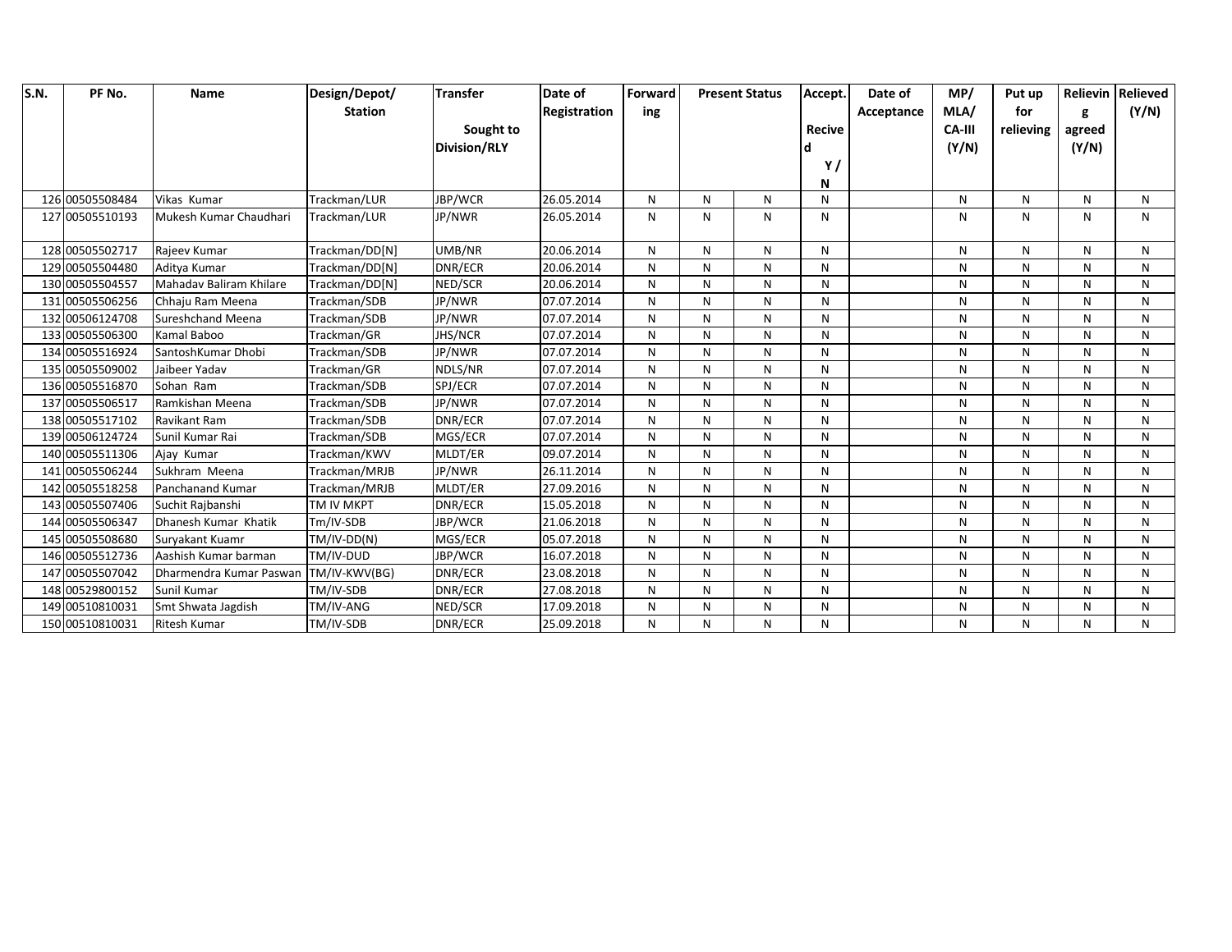| S.N. | PF No.          | Name                     | Design/Depot/  | <b>Transfer</b>     | Date of      | Forward |   | <b>Present Status</b> | Accept.       | Date of    | MP/           | Put up    |        | Relievin   Relieved |
|------|-----------------|--------------------------|----------------|---------------------|--------------|---------|---|-----------------------|---------------|------------|---------------|-----------|--------|---------------------|
|      |                 |                          | <b>Station</b> |                     | Registration | ing     |   |                       |               | Acceptance | MLA/          | for       | g      | (Y/N)               |
|      |                 |                          |                | Sought to           |              |         |   |                       | <b>Recive</b> |            | <b>CA-III</b> | relieving | agreed |                     |
|      |                 |                          |                | <b>Division/RLY</b> |              |         |   |                       |               |            | (Y/N)         |           | (Y/N)  |                     |
|      |                 |                          |                |                     |              |         |   |                       | Y             |            |               |           |        |                     |
|      |                 |                          |                |                     |              |         |   |                       | N             |            |               |           |        |                     |
|      | 126 00505508484 | Vikas Kumar              | Trackman/LUR   | JBP/WCR             | 26.05.2014   | N       | N | N                     | N             |            | N             | N         | N      | N                   |
|      | 127 00505510193 | Mukesh Kumar Chaudhari   | Trackman/LUR   | JP/NWR              | 26.05.2014   | N       | N | ${\sf N}$             | N             |            | N             | N         | N      | $\mathsf{N}$        |
|      | 128 00505502717 | Rajeev Kumar             | Trackman/DD[N] | UMB/NR              | 20.06.2014   | N       | N | N                     | N             |            | N             | N         | N      | N                   |
|      | 129 00505504480 | Aditya Kumar             | Trackman/DD[N] | DNR/ECR             | 20.06.2014   | N       | N | N                     | N             |            | N             | N         | N      | N                   |
|      | 130 00505504557 | Mahaday Baliram Khilare  | Trackman/DD[N] | NED/SCR             | 20.06.2014   | N       | N | N                     | N             |            | N             | N         | N      | N                   |
|      | 131 00505506256 | Chhaju Ram Meena         | Trackman/SDB   | JP/NWR              | 07.07.2014   | N       | N | N                     | N             |            | N             | N         | N      | N                   |
|      | 132 00506124708 | <b>Sureshchand Meena</b> | Trackman/SDB   | JP/NWR              | 07.07.2014   | N       | N | N                     | N             |            | N             | N         | N      | N                   |
|      | 133 00505506300 | Kamal Baboo              | Trackman/GR    | <b>JHS/NCR</b>      | 07.07.2014   | N       | N | N                     | N             |            | N             | N         | N      | N                   |
|      | 134 00505516924 | SantoshKumar Dhobi       | Trackman/SDB   | JP/NWR              | 07.07.2014   | N       | N | N                     | N             |            | N             | N         | N      | N                   |
|      | 135 00505509002 | Jaibeer Yadav            | Trackman/GR    | NDLS/NR             | 07.07.2014   | N       | N | N                     | N             |            | N             | N         | N      | N                   |
|      | 136 00505516870 | Sohan Ram                | Trackman/SDB   | SPJ/ECR             | 07.07.2014   | N       | N | N                     | N             |            | N             | N         | N      | N                   |
|      | 137 00505506517 | Ramkishan Meena          | Trackman/SDB   | JP/NWR              | 07.07.2014   | N       | N | $\mathsf{N}$          | N             |            | N             | N         | N      | $\mathsf{N}$        |
|      | 138 00505517102 | <b>Ravikant Ram</b>      | Trackman/SDB   | DNR/ECR             | 07.07.2014   | N       | N | N                     | N             |            | N             | N         | N      | $\mathsf{N}$        |
|      | 139 00506124724 | Sunil Kumar Rai          | Trackman/SDB   | MGS/ECR             | 07.07.2014   | N       | N | $\mathsf{N}$          | N             |            | N             | N         | N      | N                   |
|      | 140 00505511306 | Ajay Kumar               | Trackman/KWV   | MLDT/ER             | 09.07.2014   | N       | N | N                     | N             |            | N             | N         | N      | N                   |
|      | 141 00505506244 | Sukhram Meena            | Trackman/MRJB  | JP/NWR              | 26.11.2014   | N       | N | N                     | N             |            | N             | N         | N      | N                   |
|      | 142 00505518258 | Panchanand Kumar         | Trackman/MRJB  | MLDT/ER             | 27.09.2016   | N       | N | $\mathsf{N}$          | N             |            | N             | N         | N      | N                   |
|      | 143 00505507406 | Suchit Rajbanshi         | TM IV MKPT     | DNR/ECR             | 15.05.2018   | N       | N | ${\sf N}$             | N             |            | N             | N         | N      | N                   |
|      | 144 00505506347 | Dhanesh Kumar Khatik     | Tm/IV-SDB      | JBP/WCR             | 21.06.2018   | N       | N | N                     | N             |            | N             | N         | N      | N                   |
|      | 145 00505508680 | Suryakant Kuamr          | TM/IV-DD(N)    | MGS/ECR             | 05.07.2018   | N       | N | ${\sf N}$             | N             |            | N             | N         | N      | N                   |
|      | 146 00505512736 | Aashish Kumar barman     | TM/IV-DUD      | JBP/WCR             | 16.07.2018   | N       | N | N                     | N             |            | N             | N         | N      | N                   |
|      | 147 00505507042 | Dharmendra Kumar Paswan  | TM/IV-KWV(BG)  | DNR/ECR             | 23.08.2018   | N       | N | N                     | N             |            | N             | N         | N      | N                   |
|      | 148 00529800152 | Sunil Kumar              | TM/IV-SDB      | DNR/ECR             | 27.08.2018   | N       | N | ${\sf N}$             | N             |            | N             | N         | N      | N                   |
|      | 149 00510810031 | Smt Shwata Jagdish       | TM/IV-ANG      | NED/SCR             | 17.09.2018   | N       | N | ${\sf N}$             | N             |            | N             | N         | N      | N                   |
|      | 150 00510810031 | <b>Ritesh Kumar</b>      | TM/IV-SDB      | DNR/ECR             | 25.09.2018   | N       | N | N                     | N             |            | N             | N         | N      | N                   |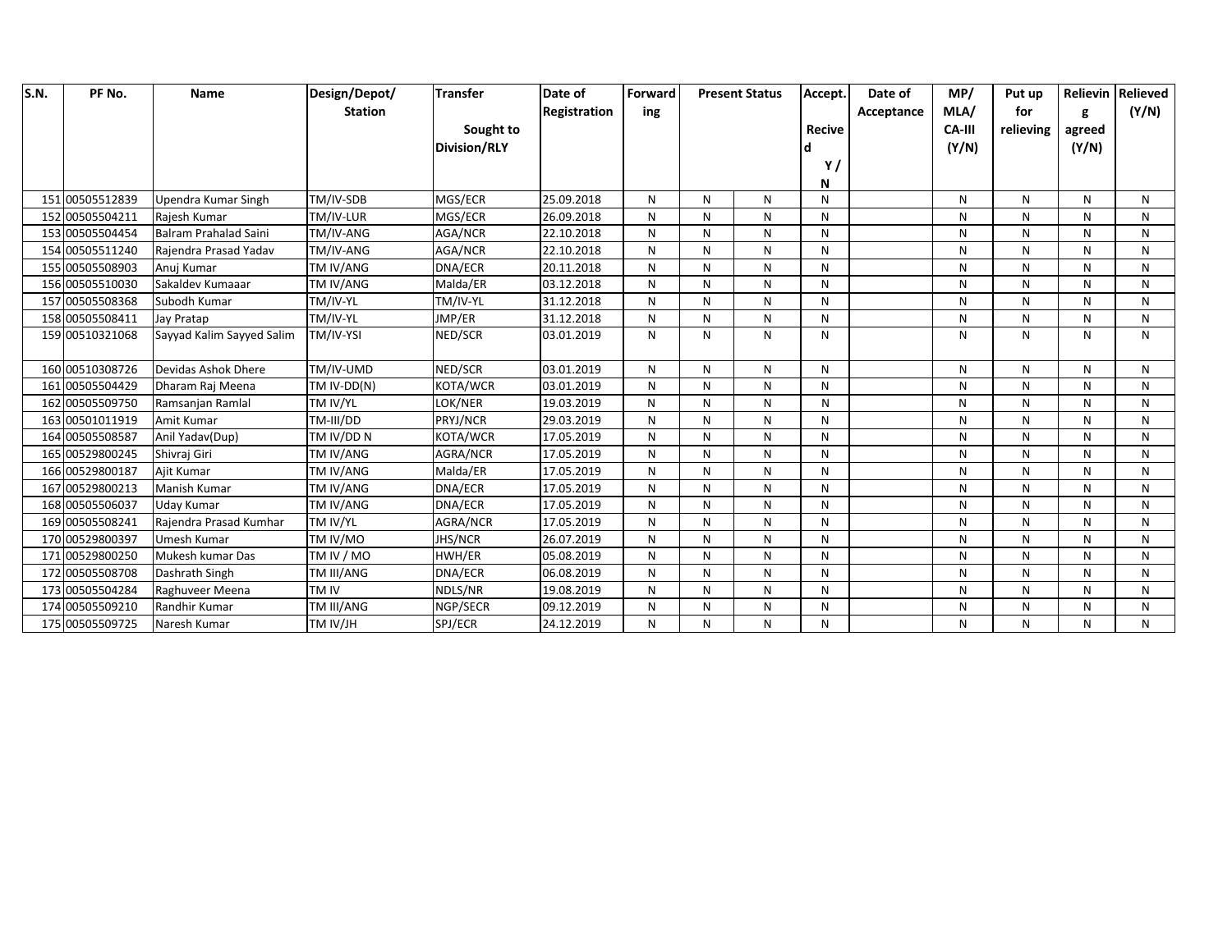| S.N. | PF No.          | <b>Name</b>               | Design/Depot/  | <b>Transfer</b>     | Date of      | Forward |   | <b>Present Status</b> | Accept.       | Date of    | MP/           | Put up    |        | <b>Relievin Relieved</b> |
|------|-----------------|---------------------------|----------------|---------------------|--------------|---------|---|-----------------------|---------------|------------|---------------|-----------|--------|--------------------------|
|      |                 |                           | <b>Station</b> |                     | Registration | ing     |   |                       |               | Acceptance | MLA/          | for       | g      | (Y/N)                    |
|      |                 |                           |                | Sought to           |              |         |   |                       | <b>Recive</b> |            | <b>CA-III</b> | relieving | agreed |                          |
|      |                 |                           |                | <b>Division/RLY</b> |              |         |   |                       |               |            | (Y/N)         |           | (Y/N)  |                          |
|      |                 |                           |                |                     |              |         |   |                       | Y/            |            |               |           |        |                          |
|      |                 |                           |                |                     |              |         |   |                       | N             |            |               |           |        |                          |
|      | 151 00505512839 | Upendra Kumar Singh       | TM/IV-SDB      | MGS/ECR             | 25.09.2018   | N       | N | N                     | N             |            | N             | N         | N      | N                        |
|      | 152 00505504211 | Rajesh Kumar              | TM/IV-LUR      | MGS/ECR             | 26.09.2018   | N       | N | N                     | N             |            | N             | N         | N      | N                        |
|      | 153 00505504454 | Balram Prahalad Saini     | TM/IV-ANG      | AGA/NCR             | 22.10.2018   | N       | N | N                     | N             |            | N             | N         | N      | N                        |
|      | 154 00505511240 | Rajendra Prasad Yadav     | TM/IV-ANG      | AGA/NCR             | 22.10.2018   | N       | N | N                     | N             |            | N             | N         | N      | N                        |
|      | 155 00505508903 | Anuj Kumar                | TM IV/ANG      | DNA/ECR             | 20.11.2018   | N       | N | $\mathsf{N}$          | N             |            | N             | N         | N      | N                        |
|      | 156 00505510030 | Sakaldev Kumaaar          | TM IV/ANG      | Malda/ER            | 03.12.2018   | N       | N | N                     | N             |            | N             | N         | N      | N                        |
|      | 157 00505508368 | Subodh Kumar              | TM/IV-YL       | TM/IV-YL            | 31.12.2018   | N       | N | N                     | N             |            | N             | N         | N      | $\mathsf{N}$             |
|      | 158 00505508411 | Jay Pratap                | TM/IV-YL       | JMP/ER              | 31.12.2018   | N       | N | ${\sf N}$             | N             |            | N             | N         | N      | N                        |
|      | 159 00510321068 | Sayyad Kalim Sayyed Salim | TM/IV-YSI      | NED/SCR             | 03.01.2019   | N       | N | N                     | N             |            | N             | N         | N      | N                        |
|      |                 |                           |                |                     |              |         |   |                       |               |            |               |           |        |                          |
|      | 160 00510308726 | Devidas Ashok Dhere       | TM/IV-UMD      | NED/SCR             | 03.01.2019   | N       | N | N                     | N             |            | N             | N         | N      | N                        |
|      | 161 00505504429 | Dharam Raj Meena          | TM IV-DD(N)    | KOTA/WCR            | 03.01.2019   | N       | N | N                     | N             |            | N             | N         | N      | N                        |
|      | 162 00505509750 | Ramsanjan Ramlal          | TM IV/YL       | LOK/NER             | 19.03.2019   | N       | N | N                     | N             |            | N             | N         | N      | N                        |
|      | 163 00501011919 | Amit Kumar                | TM-III/DD      | PRYJ/NCR            | 29.03.2019   | N       | N | N                     | N             |            | N             | N         | N      | N                        |
|      | 164 00505508587 | Anil Yadav(Dup)           | TM IV/DD N     | KOTA/WCR            | 17.05.2019   | N       | N | N                     | N             |            | N             | N         | N      | N                        |
|      | 165 00529800245 | Shivraj Giri              | TM IV/ANG      | AGRA/NCR            | 17.05.2019   | N       | N | N                     | N             |            | N             | N         | N      | N                        |
|      | 166 00529800187 | Ajit Kumar                | TM IV/ANG      | Malda/ER            | 17.05.2019   | N       | N | N                     | N             |            | N             | N         | N      | N                        |
|      | 167 00529800213 | Manish Kumar              | TM IV/ANG      | DNA/ECR             | 17.05.2019   | N       | N | $\mathsf{N}$          | N             |            | N             | N         | N      | N                        |
|      | 168 00505506037 | <b>Uday Kumar</b>         | TM IV/ANG      | DNA/ECR             | 17.05.2019   | N       | N | N                     | N             |            | N             | N         | N      | N                        |
|      | 169 00505508241 | Rajendra Prasad Kumhar    | TM IV/YL       | AGRA/NCR            | 17.05.2019   | N       | N | N                     | N             |            | N             | N         | N      | N                        |
|      | 170 00529800397 | Umesh Kumar               | TM IV/MO       | JHS/NCR             | 26.07.2019   | N       | N | N                     | N             |            | N             | N         | N      | N                        |
|      | 171 00529800250 | Mukesh kumar Das          | TM IV / MO     | HWH/ER              | 05.08.2019   | N       | N | N                     | N             |            | N             | N         | N      | N                        |
|      | 172 00505508708 | Dashrath Singh            | TM III/ANG     | DNA/ECR             | 06.08.2019   | N       | N | N                     | N             |            | N             | N         | N      | N                        |
|      | 173 00505504284 | Raghuveer Meena           | TM IV          | NDLS/NR             | 19.08.2019   | N       | N | N                     | N             |            | N             | N         | N      | N                        |
|      | 174 00505509210 | Randhir Kumar             | TM III/ANG     | NGP/SECR            | 09.12.2019   | N       | N | N                     | N             |            | N             | N         | N      | N                        |
|      | 175 00505509725 | Naresh Kumar              | TM IV/JH       | SPJ/ECR             | 24.12.2019   | N       | N | N                     | N             |            | N             | N         | N      | N                        |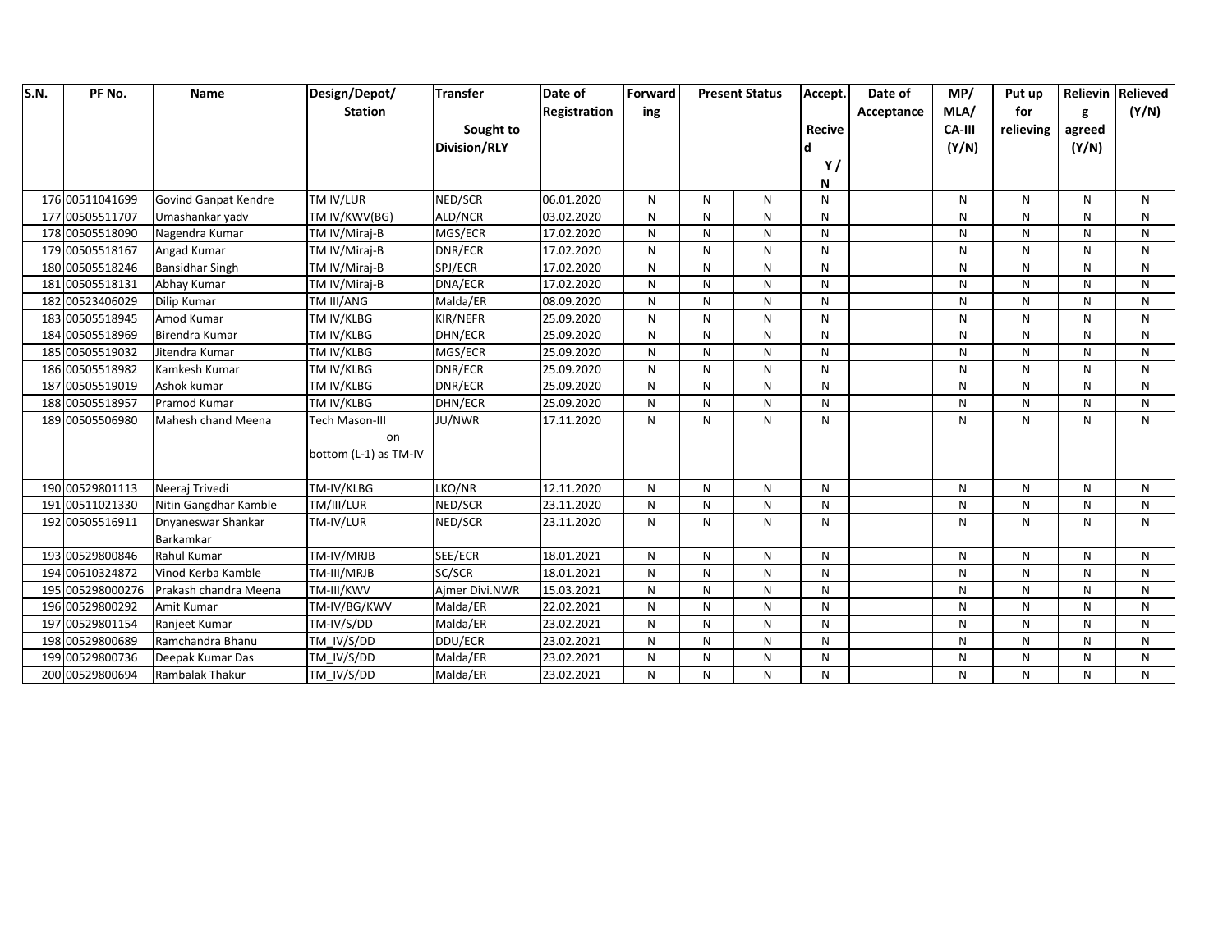| S.N. | PF No.           | Name                   | Design/Depot/         | <b>Transfer</b>     | Date of      | Forward   |              | <b>Present Status</b> | Accept.       | Date of    | MP/    | Put up    |              | Relievin Relieved |
|------|------------------|------------------------|-----------------------|---------------------|--------------|-----------|--------------|-----------------------|---------------|------------|--------|-----------|--------------|-------------------|
|      |                  |                        | <b>Station</b>        |                     | Registration | ing       |              |                       |               | Acceptance | MLA/   | for       | g            | (Y/N)             |
|      |                  |                        |                       | Sought to           |              |           |              |                       | <b>Recive</b> |            | CA-III | relieving | agreed       |                   |
|      |                  |                        |                       | <b>Division/RLY</b> |              |           |              |                       |               |            | (Y/N)  |           | (Y/N)        |                   |
|      |                  |                        |                       |                     |              |           |              |                       | Y/            |            |        |           |              |                   |
|      |                  |                        |                       |                     |              |           |              |                       | N             |            |        |           |              |                   |
|      | 176 00511041699  | Govind Ganpat Kendre   | TM IV/LUR             | NED/SCR             | 06.01.2020   | N         | N            | N                     | N             |            | N      | N         | N            | N                 |
|      | 177 00505511707  | Umashankar yadv        | TM IV/KWV(BG)         | ALD/NCR             | 03.02.2020   | N         | N            | N                     | N             |            | N      | N         | N            | N                 |
|      | 178 00505518090  | Nagendra Kumar         | TM IV/Miraj-B         | MGS/ECR             | 17.02.2020   | N         | $\mathsf{N}$ | N                     | N             |            | N      | N         | N            | N                 |
|      | 179 00505518167  | Angad Kumar            | TM IV/Miraj-B         | DNR/ECR             | 17.02.2020   | N         | N            | N                     | N             |            | N      | N         | N            | N                 |
|      | 180 00505518246  | <b>Bansidhar Singh</b> | TM IV/Miraj-B         | SPJ/ECR             | 17.02.2020   | N         | $\mathsf{N}$ | N                     | N             |            | N      | N         | N            | N                 |
|      | 181 00505518131  | Abhay Kumar            | TM IV/Miraj-B         | DNA/ECR             | 17.02.2020   | N         | $\mathsf{N}$ | N                     | N             |            | N      | N         | N            | N                 |
|      | 182 00523406029  | <b>Dilip Kumar</b>     | TM III/ANG            | Malda/ER            | 08.09.2020   | N         | $\mathsf{N}$ | N                     | N             |            | N      | N         | $\mathsf{N}$ | $\mathsf{N}$      |
|      | 183 00505518945  | Amod Kumar             | TM IV/KLBG            | KIR/NEFR            | 25.09.2020   | N         | N            | N                     | N             |            | N      | N         | N            | N                 |
|      | 184 00505518969  | Birendra Kumar         | TM IV/KLBG            | DHN/ECR             | 25.09.2020   | N         | N            | N                     | N             |            | N      | N         | N            | N                 |
|      | 185 00505519032  | Jitendra Kumar         | TM IV/KLBG            | MGS/ECR             | 25.09.2020   | N         | N            | N                     | N             |            | N      | N         | N            | N                 |
|      | 186 00505518982  | Kamkesh Kumar          | TM IV/KLBG            | DNR/ECR             | 25.09.2020   | ${\sf N}$ | N            | N                     | N             |            | N      | N         | N            | N                 |
|      | 187 00505519019  | Ashok kumar            | TM IV/KLBG            | DNR/ECR             | 25.09.2020   | N         | $\mathsf{N}$ | N                     | N             |            | N      | N         | N            | N                 |
|      | 188 00505518957  | Pramod Kumar           | TM IV/KLBG            | DHN/ECR             | 25.09.2020   | N         | N            | N                     | N             |            | N      | N         | N            | N                 |
|      | 189 00505506980  | Mahesh chand Meena     | <b>Tech Mason-III</b> | JU/NWR              | 17.11.2020   | N         | N            | N                     | N             |            | N      | N         | N            | N                 |
|      |                  |                        | on                    |                     |              |           |              |                       |               |            |        |           |              |                   |
|      |                  |                        | bottom (L-1) as TM-IV |                     |              |           |              |                       |               |            |        |           |              |                   |
|      |                  |                        |                       |                     |              |           |              |                       |               |            |        |           |              |                   |
|      | 190 00529801113  | Neeraj Trivedi         | TM-IV/KLBG            | LKO/NR              | 12.11.2020   | N         | N            | N                     | N             |            | N      | N         | N            | N                 |
|      | 191 00511021330  | Nitin Gangdhar Kamble  | TM/III/LUR            | NED/SCR             | 23.11.2020   | N         | N            | N                     | N             |            | N      | N         | N            | N                 |
|      | 192 00505516911  | Dnyaneswar Shankar     | TM-IV/LUR             | NED/SCR             | 23.11.2020   | N         | $\mathsf{N}$ | N                     | N             |            | N      | N         | N            | $\mathsf{N}$      |
|      |                  | Barkamkar              |                       |                     |              |           |              |                       |               |            |        |           |              |                   |
|      | 193 00529800846  | Rahul Kumar            | TM-IV/MRJB            | SEE/ECR             | 18.01.2021   | N         | N            | N                     | N             |            | N      | N         | N            | N                 |
|      | 194 00610324872  | Vinod Kerba Kamble     | TM-III/MRJB           | SC/SCR              | 18.01.2021   | N         | $\mathsf{N}$ | N                     | N             |            | N      | N         | N            | N                 |
|      | 195 005298000276 | Prakash chandra Meena  | TM-III/KWV            | Aimer Divi.NWR      | 15.03.2021   | N         | ${\sf N}$    | ${\sf N}$             | N             |            | N      | N         | $\mathsf{N}$ | ${\sf N}$         |
|      | 196 00529800292  | Amit Kumar             | TM-IV/BG/KWV          | Malda/ER            | 22.02.2021   | N         | N            | ${\sf N}$             | N             |            | N      | N         | N            | N                 |
|      | 197 00529801154  | Ranjeet Kumar          | TM-IV/S/DD            | Malda/ER            | 23.02.2021   | N         | N            | N                     | N             |            | N      | N         | N            | N                 |
|      | 198 00529800689  | Ramchandra Bhanu       | TM IV/S/DD            | DDU/ECR             | 23.02.2021   | N         | N            | N                     | N             |            | N      | N         | N            | N                 |
|      | 199 00529800736  | Deepak Kumar Das       | TM_IV/S/DD            | Malda/ER            | 23.02.2021   | N         | $\mathsf{N}$ | N                     | N             |            | N      | N         | N            | N                 |
|      | 200 00529800694  | Rambalak Thakur        | TM_IV/S/DD            | Malda/ER            | 23.02.2021   | N         | $\mathsf{N}$ | N                     | N             |            | N      | N         | N            | N                 |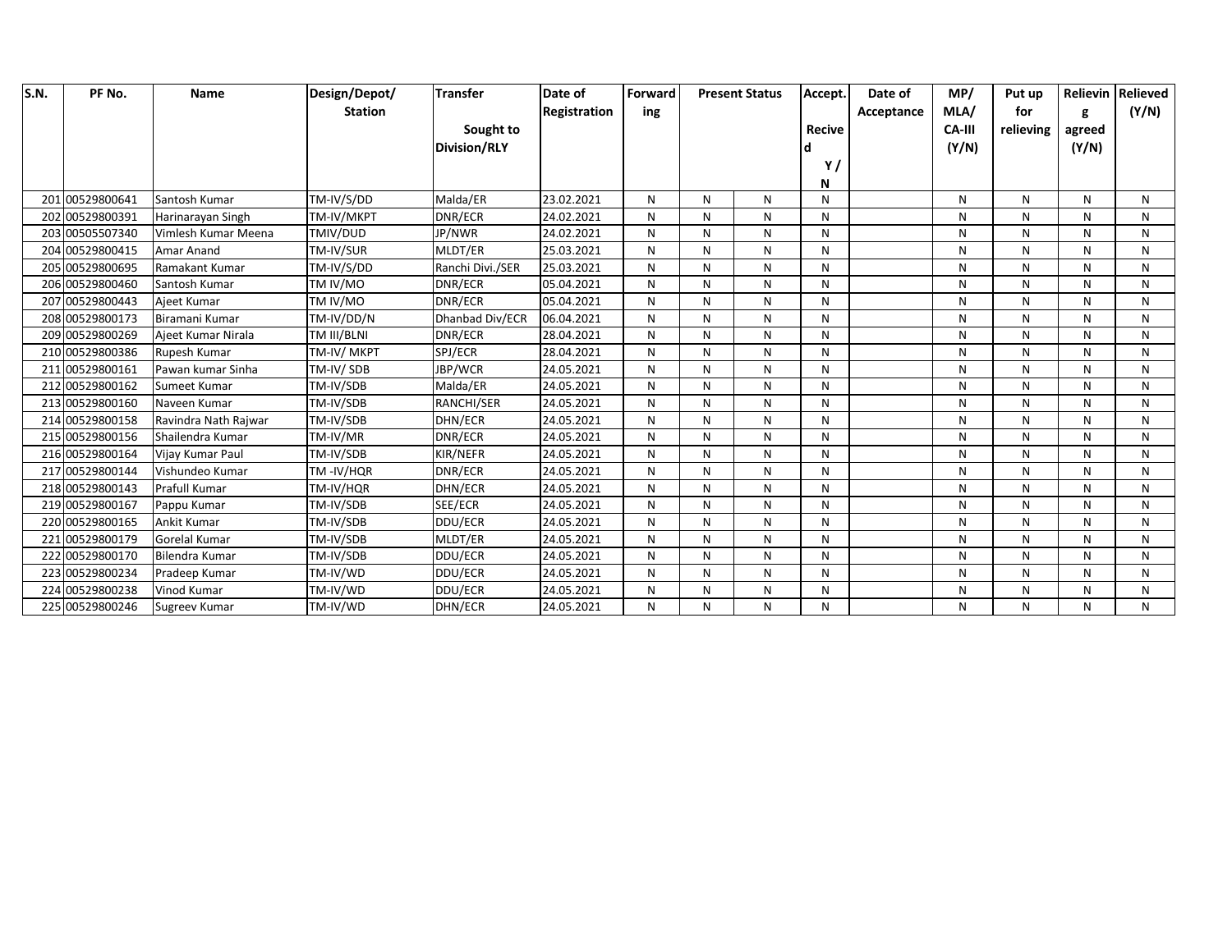| S.N. | PF No.          | Name                 | Design/Depot/  | <b>Transfer</b>     | Date of      | Forward |   | <b>Present Status</b> | Accept.       | Date of    | MP/           | Put up    |        | Relievin Relieved |
|------|-----------------|----------------------|----------------|---------------------|--------------|---------|---|-----------------------|---------------|------------|---------------|-----------|--------|-------------------|
|      |                 |                      | <b>Station</b> |                     | Registration | ing     |   |                       |               | Acceptance | MLA/          | for       | g      | (Y/N)             |
|      |                 |                      |                | Sought to           |              |         |   |                       | <b>Recive</b> |            | <b>CA-III</b> | relieving | agreed |                   |
|      |                 |                      |                | <b>Division/RLY</b> |              |         |   |                       |               |            | (Y/N)         |           | (Y/N)  |                   |
|      |                 |                      |                |                     |              |         |   |                       | Y,            |            |               |           |        |                   |
|      |                 |                      |                |                     |              |         |   |                       | N             |            |               |           |        |                   |
|      | 201 00529800641 | Santosh Kumar        | TM-IV/S/DD     | Malda/ER            | 23.02.2021   | N       | N | N                     | N             |            | N             | Ν         | N      | N                 |
|      | 202 00529800391 | Harinarayan Singh    | TM-IV/MKPT     | DNR/ECR             | 24.02.2021   | N       | N | N                     | N             |            | N             | N         | N      | N                 |
|      | 203 00505507340 | Vimlesh Kumar Meena  | TMIV/DUD       | JP/NWR              | 24.02.2021   | N       | N | N                     | N             |            | N             | N         | N      | N                 |
|      | 204 00529800415 | Amar Anand           | TM-IV/SUR      | MLDT/ER             | 25.03.2021   | N       | N | N                     | N             |            | N             | N         | N      | N                 |
|      | 205 00529800695 | Ramakant Kumar       | TM-IV/S/DD     | Ranchi Divi./SER    | 25.03.2021   | N       | N | N                     | N             |            | N             | N         | N      | N                 |
|      | 206 00529800460 | Santosh Kumar        | TM IV/MO       | DNR/ECR             | 05.04.2021   | N       | N | ${\sf N}$             | N             |            | N             | N         | N      | N                 |
|      | 207 00529800443 | Ajeet Kumar          | TM IV/MO       | DNR/ECR             | 05.04.2021   | N       | N | N                     | N             |            | N             | N         | N      | N                 |
|      | 208 00529800173 | Biramani Kumar       | TM-IV/DD/N     | Dhanbad Div/ECR     | 06.04.2021   | N       | N | $\mathsf{N}$          | N             |            | N             | N         | N      | N                 |
|      | 209 00529800269 | Ajeet Kumar Nirala   | TM III/BLNI    | DNR/ECR             | 28.04.2021   | N       | N | N                     | N             |            | N             | N         | N      | N                 |
|      | 210 00529800386 | Rupesh Kumar         | TM-IV/MKPT     | SPJ/ECR             | 28.04.2021   | N       | N | N                     | N             |            | N             | N         | N      | N                 |
|      | 211 00529800161 | Pawan kumar Sinha    | TM-IV/SDB      | JBP/WCR             | 24.05.2021   | N       | N | N                     | N             |            | N             | N         | N      | N                 |
|      | 212 00529800162 | Sumeet Kumar         | TM-IV/SDB      | Malda/ER            | 24.05.2021   | N       | N | N                     | N             |            | N             | N         | N      | N                 |
|      | 213 00529800160 | Naveen Kumar         | TM-IV/SDB      | <b>RANCHI/SER</b>   | 24.05.2021   | N       | N | N                     | N             |            | N             | N         | N      | N                 |
|      | 214 00529800158 | Ravindra Nath Rajwar | TM-IV/SDB      | DHN/ECR             | 24.05.2021   | N       | N | N                     | N             |            | N             | N         | N      | N                 |
|      | 215 00529800156 | Shailendra Kumar     | TM-IV/MR       | DNR/ECR             | 24.05.2021   | N       | N | ${\sf N}$             | N             |            | N             | N         | N      | N                 |
|      | 216 00529800164 | Vijay Kumar Paul     | TM-IV/SDB      | KIR/NEFR            | 24.05.2021   | N       | N | N                     | N             |            | N             | N         | N      | N                 |
|      | 217 00529800144 | Vishundeo Kumar      | TM-IV/HQR      | DNR/ECR             | 24.05.2021   | N       | N | N                     | N             |            | N             | N         | N      | N                 |
|      | 218 00529800143 | Prafull Kumar        | TM-IV/HQR      | DHN/ECR             | 24.05.2021   | N       | N | N                     | N             |            | N             | N         | N      | N                 |
|      | 219 00529800167 | Pappu Kumar          | TM-IV/SDB      | SEE/ECR             | 24.05.2021   | N       | N | ${\sf N}$             | N             |            | N             | N         | N      | N                 |
|      | 220 00529800165 | Ankit Kumar          | TM-IV/SDB      | <b>DDU/ECR</b>      | 24.05.2021   | N       | N | N                     | N             |            | N             | N         | N      | N                 |
|      | 221 00529800179 | Gorelal Kumar        | TM-IV/SDB      | MLDT/ER             | 24.05.2021   | N       | N | N                     | N             |            | N             | N         | N      | N                 |
|      | 222 00529800170 | Bilendra Kumar       | TM-IV/SDB      | DDU/ECR             | 24.05.2021   | N       | N | N                     | N             |            | N             | N         | N      | N                 |
|      | 223 00529800234 | Pradeep Kumar        | TM-IV/WD       | DDU/ECR             | 24.05.2021   | N       | N | N                     | N             |            | N             | N         | N      | N                 |
|      | 224 00529800238 | Vinod Kumar          | TM-IV/WD       | DDU/ECR             | 24.05.2021   | N       | N | N                     | N             |            | N             | N         | N      | N                 |
|      | 225 00529800246 | Sugreev Kumar        | TM-IV/WD       | DHN/ECR             | 24.05.2021   | N       | N | N                     | N             |            | N             | N         | N      | N                 |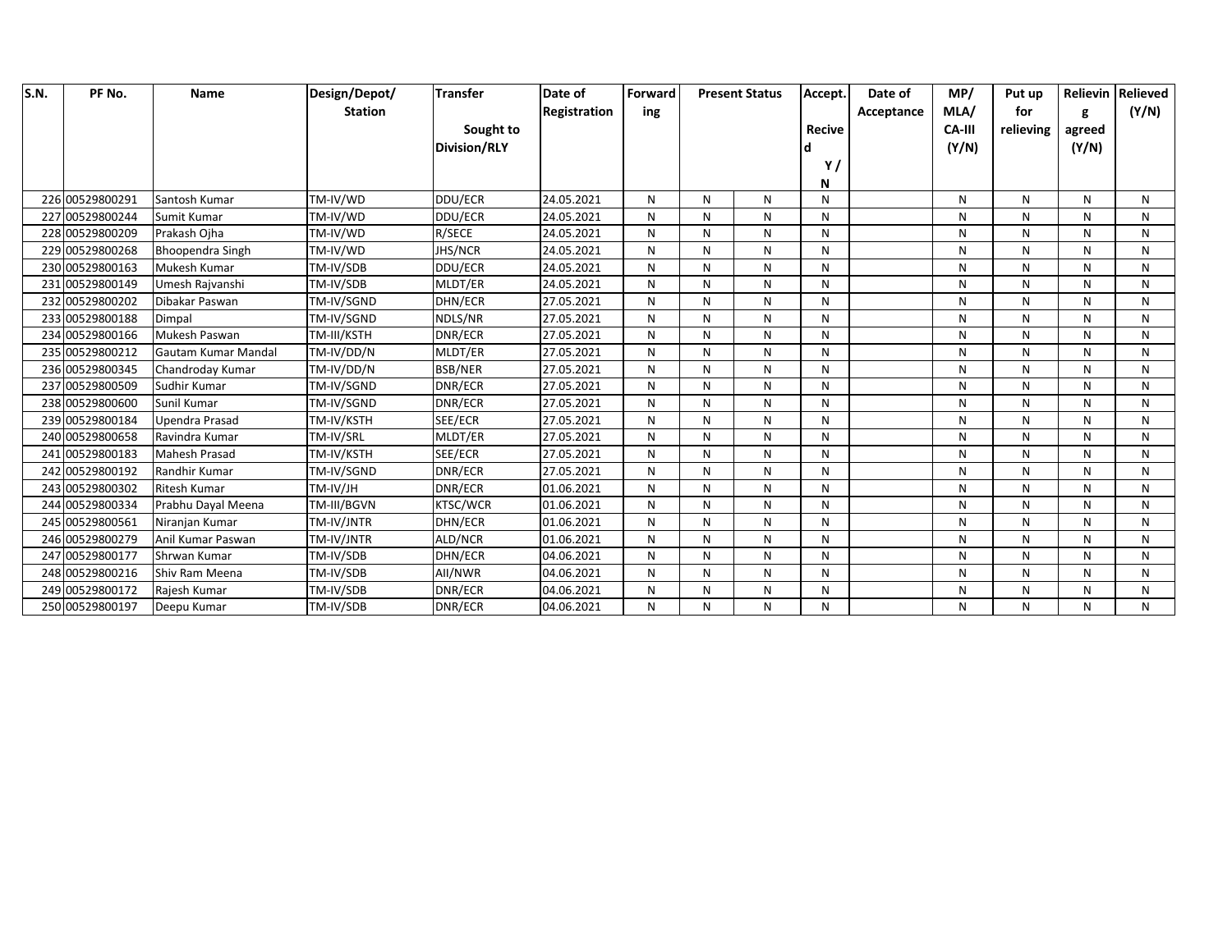| S.N. | PF No.          | Name                | Design/Depot/  | <b>Transfer</b>     | Date of      | Forward |   | <b>Present Status</b> | Accept.       | Date of    | MP/           | Put up    |        | Relievin Relieved |
|------|-----------------|---------------------|----------------|---------------------|--------------|---------|---|-----------------------|---------------|------------|---------------|-----------|--------|-------------------|
|      |                 |                     | <b>Station</b> |                     | Registration | ing     |   |                       |               | Acceptance | MLA/          | for       | g      | (Y/N)             |
|      |                 |                     |                | Sought to           |              |         |   |                       | <b>Recive</b> |            | <b>CA-III</b> | relieving | agreed |                   |
|      |                 |                     |                | <b>Division/RLY</b> |              |         |   |                       |               |            | (Y/N)         |           | (Y/N)  |                   |
|      |                 |                     |                |                     |              |         |   |                       | Y,            |            |               |           |        |                   |
|      |                 |                     |                |                     |              |         |   |                       | N             |            |               |           |        |                   |
|      | 226 00529800291 | Santosh Kumar       | TM-IV/WD       | DDU/ECR             | 24.05.2021   | N       | N | N                     | N             |            | N             | Ν         | N      | N                 |
|      | 227 00529800244 | Sumit Kumar         | TM-IV/WD       | DDU/ECR             | 24.05.2021   | N       | N | N                     | N             |            | N             | N         | N      | N                 |
|      | 228 00529800209 | Prakash Ojha        | TM-IV/WD       | R/SECE              | 24.05.2021   | N       | N | N                     | N             |            | N             | N         | N      | N                 |
|      | 229 00529800268 | Bhoopendra Singh    | TM-IV/WD       | <b>JHS/NCR</b>      | 24.05.2021   | N       | N | N                     | N             |            | N             | N         | N      | N                 |
|      | 230 00529800163 | Mukesh Kumar        | TM-IV/SDB      | DDU/ECR             | 24.05.2021   | N       | N | N                     | N             |            | N             | N         | N      | N                 |
|      | 231 00529800149 | Umesh Rajvanshi     | TM-IV/SDB      | MLDT/ER             | 24.05.2021   | N       | N | ${\sf N}$             | N             |            | N             | N         | N      | N                 |
|      | 232 00529800202 | Dibakar Paswan      | TM-IV/SGND     | DHN/ECR             | 27.05.2021   | N       | N | N                     | N             |            | N             | N         | N      | N                 |
|      | 233 00529800188 | Dimpal              | TM-IV/SGND     | NDLS/NR             | 27.05.2021   | N       | N | $\mathsf{N}$          | N             |            | N             | N         | N      | N                 |
|      | 234 00529800166 | Mukesh Paswan       | TM-III/KSTH    | DNR/ECR             | 27.05.2021   | N       | N | N                     | N             |            | N             | N         | N      | N                 |
|      | 235 00529800212 | Gautam Kumar Mandal | TM-IV/DD/N     | MLDT/ER             | 27.05.2021   | N       | N | N                     | N             |            | N             | N         | N      | N                 |
|      | 236 00529800345 | Chandroday Kumar    | TM-IV/DD/N     | <b>BSB/NER</b>      | 27.05.2021   | N       | N | N                     | N             |            | N             | N         | N      | N                 |
|      | 237 00529800509 | Sudhir Kumar        | TM-IV/SGND     | DNR/ECR             | 27.05.2021   | N       | N | N                     | N             |            | N             | N         | N      | N                 |
|      | 238 00529800600 | Sunil Kumar         | TM-IV/SGND     | DNR/ECR             | 27.05.2021   | N       | N | N                     | N             |            | N             | N         | N      | N                 |
|      | 239 00529800184 | Upendra Prasad      | TM-IV/KSTH     | SEE/ECR             | 27.05.2021   | N       | N | N                     | N             |            | N             | N         | N      | N                 |
|      | 240 00529800658 | Ravindra Kumar      | TM-IV/SRL      | MLDT/ER             | 27.05.2021   | N       | N | N                     | N             |            | N             | N         | N      | N                 |
|      | 241 00529800183 | Mahesh Prasad       | TM-IV/KSTH     | SEE/ECR             | 27.05.2021   | N       | N | N                     | N             |            | N             | N         | N      | N                 |
|      | 242 00529800192 | Randhir Kumar       | TM-IV/SGND     | DNR/ECR             | 27.05.2021   | N       | N | N                     | N             |            | N             | N         | N      | N                 |
|      | 243 00529800302 | Ritesh Kumar        | TM-IV/JH       | DNR/ECR             | 01.06.2021   | N       | N | N                     | N             |            | N             | N         | N      | N                 |
|      | 244 00529800334 | Prabhu Dayal Meena  | TM-III/BGVN    | <b>KTSC/WCR</b>     | 01.06.2021   | N       | N | ${\sf N}$             | N             |            | N             | N         | N      | N                 |
|      | 245 00529800561 | Niranian Kumar      | TM-IV/JNTR     | DHN/ECR             | 01.06.2021   | N       | N | N                     | N             |            | N             | N         | N      | N                 |
|      | 246 00529800279 | Anil Kumar Paswan   | TM-IV/JNTR     | ALD/NCR             | 01.06.2021   | N       | N | N                     | N             |            | N             | N         | N      | N                 |
|      | 247 00529800177 | Shrwan Kumar        | TM-IV/SDB      | DHN/ECR             | 04.06.2021   | N       | N | N                     | N             |            | N             | N         | N      | N                 |
|      | 248 00529800216 | Shiv Ram Meena      | TM-IV/SDB      | All/NWR             | 04.06.2021   | N       | N | N                     | N             |            | N             | N         | N      | N                 |
|      | 249 00529800172 | Rajesh Kumar        | TM-IV/SDB      | DNR/ECR             | 04.06.2021   | N       | N | N                     | N             |            | N             | N         | N      | N                 |
|      | 250 00529800197 | Deepu Kumar         | TM-IV/SDB      | DNR/ECR             | 04.06.2021   | N       | N | N                     | N             |            | N             | N         | N      | N                 |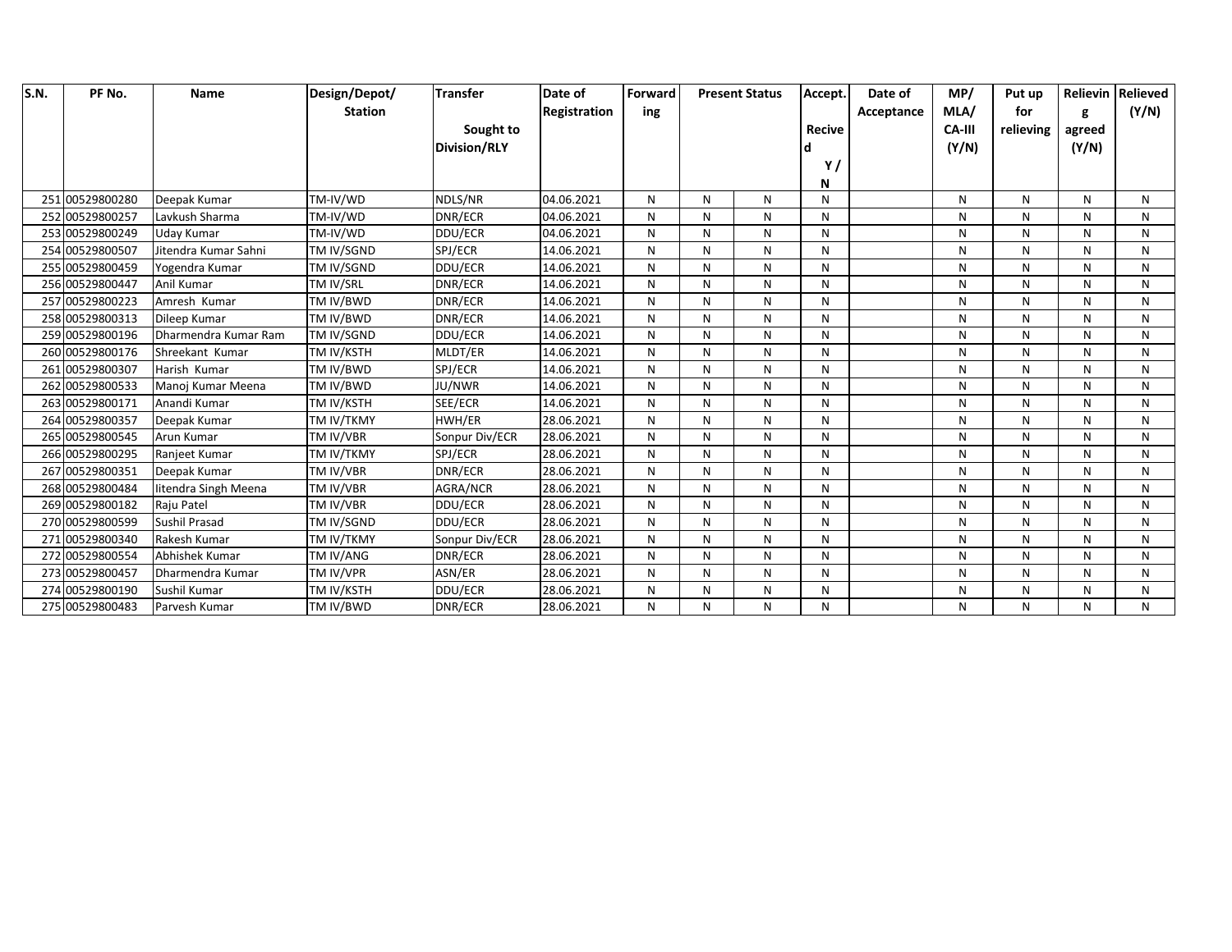| S.N. | PF No.          | Name                 | Design/Depot/    | <b>Transfer</b>     | Date of      | Forward |   | <b>Present Status</b> | Accept.       | Date of    | MP/           | Put up    |        | Relievin Relieved |
|------|-----------------|----------------------|------------------|---------------------|--------------|---------|---|-----------------------|---------------|------------|---------------|-----------|--------|-------------------|
|      |                 |                      | <b>Station</b>   |                     | Registration | ing     |   |                       |               | Acceptance | MLA/          | for       | g      | (Y/N)             |
|      |                 |                      |                  | Sought to           |              |         |   |                       | <b>Recive</b> |            | <b>CA-III</b> | relieving | agreed |                   |
|      |                 |                      |                  | <b>Division/RLY</b> |              |         |   |                       |               |            | (Y/N)         |           | (Y/N)  |                   |
|      |                 |                      |                  |                     |              |         |   |                       | Y,            |            |               |           |        |                   |
|      |                 |                      |                  |                     |              |         |   |                       | N             |            |               |           |        |                   |
|      | 251 00529800280 | Deepak Kumar         | TM-IV/WD         | NDLS/NR             | 04.06.2021   | N       | N | N                     | N             |            | N             | Ν         | N      | N                 |
|      | 252 00529800257 | Lavkush Sharma       | TM-IV/WD         | DNR/ECR             | 04.06.2021   | N       | N | N                     | N             |            | N             | N         | N      | N                 |
|      | 253 00529800249 | Uday Kumar           | TM-IV/WD         | DDU/ECR             | 04.06.2021   | N       | N | N                     | N             |            | N             | N         | N      | N                 |
|      | 254 00529800507 | Jitendra Kumar Sahni | TM IV/SGND       | SPJ/ECR             | 14.06.2021   | N       | N | N                     | N             |            | N             | N         | N      | N                 |
|      | 255 00529800459 | Yogendra Kumar       | TM IV/SGND       | DDU/ECR             | 14.06.2021   | N       | N | N                     | N             |            | N             | N         | N      | N                 |
|      | 256 00529800447 | Anil Kumar           | TM IV/SRL        | DNR/ECR             | 14.06.2021   | N       | N | ${\sf N}$             | N             |            | N             | N         | N      | N                 |
|      | 257 00529800223 | Amresh Kumar         | TM IV/BWD        | DNR/ECR             | 14.06.2021   | N       | N | N                     | N             |            | N             | N         | N      | N                 |
|      | 258 00529800313 | Dileep Kumar         | <b>TM IV/BWD</b> | DNR/ECR             | 14.06.2021   | N       | N | $\mathsf{N}$          | N             |            | N             | N         | N      | N                 |
|      | 259 00529800196 | Dharmendra Kumar Ram | TM IV/SGND       | DDU/ECR             | 14.06.2021   | N       | N | N                     | N             |            | N             | N         | N      | N                 |
|      | 260 00529800176 | Shreekant Kumar      | TM IV/KSTH       | MLDT/ER             | 14.06.2021   | N       | N | N                     | N             |            | N             | N         | N      | N                 |
|      | 261 00529800307 | Harish Kumar         | TM IV/BWD        | SPJ/ECR             | 14.06.2021   | N       | N | N                     | N             |            | N             | N         | N      | N                 |
|      | 262 00529800533 | Manoj Kumar Meena    | <b>TM IV/BWD</b> | JU/NWR              | 14.06.2021   | N       | N | N                     | N             |            | N             | N         | N      | N                 |
|      | 263 00529800171 | Anandi Kumar         | TM IV/KSTH       | SEE/ECR             | 14.06.2021   | N       | N | N                     | N             |            | N             | N         | N      | N                 |
|      | 264 00529800357 | Deepak Kumar         | TM IV/TKMY       | HWH/ER              | 28.06.2021   | N       | N | N                     | N             |            | N             | N         | N      | N                 |
|      | 265 00529800545 | Arun Kumar           | TM IV/VBR        | Sonpur Div/ECR      | 28.06.2021   | N       | N | N                     | N             |            | N             | N         | N      | N                 |
|      | 266 00529800295 | Ranjeet Kumar        | TM IV/TKMY       | SPJ/ECR             | 28.06.2021   | N       | N | N                     | N             |            | N             | N         | N      | N                 |
|      | 267 00529800351 | Deepak Kumar         | TM IV/VBR        | DNR/ECR             | 28.06.2021   | N       | N | N                     | N             |            | N             | N         | N      | N                 |
|      | 268 00529800484 | litendra Singh Meena | TM IV/VBR        | AGRA/NCR            | 28.06.2021   | N       | N | N                     | N             |            | N             | N         | N      | N                 |
|      | 269 00529800182 | Raju Patel           | TM IV/VBR        | DDU/ECR             | 28.06.2021   | N       | N | ${\sf N}$             | N             |            | N             | N         | N      | N                 |
|      | 270 00529800599 | Sushil Prasad        | TM IV/SGND       | DDU/ECR             | 28.06.2021   | N       | N | N                     | N             |            | N             | N         | N      | N                 |
|      | 271 00529800340 | Rakesh Kumar         | TM IV/TKMY       | Sonpur Div/ECR      | 28.06.2021   | N       | N | N                     | N             |            | N             | N         | N      | N                 |
|      | 272 00529800554 | Abhishek Kumar       | TM IV/ANG        | DNR/ECR             | 28.06.2021   | N       | N | N                     | N             |            | N             | N         | N      | N                 |
|      | 273 00529800457 | Dharmendra Kumar     | <b>TM IV/VPR</b> | ASN/ER              | 28.06.2021   | N       | N | N                     | N             |            | N             | N         | N      | N                 |
|      | 274 00529800190 | Sushil Kumar         | TM IV/KSTH       | DDU/ECR             | 28.06.2021   | N       | N | N                     | N             |            | N             | N         | N      | N                 |
|      | 275 00529800483 | Parvesh Kumar        | TM IV/BWD        | DNR/ECR             | 28.06.2021   | N       | N | N                     | N             |            | N             | N         | N      | N                 |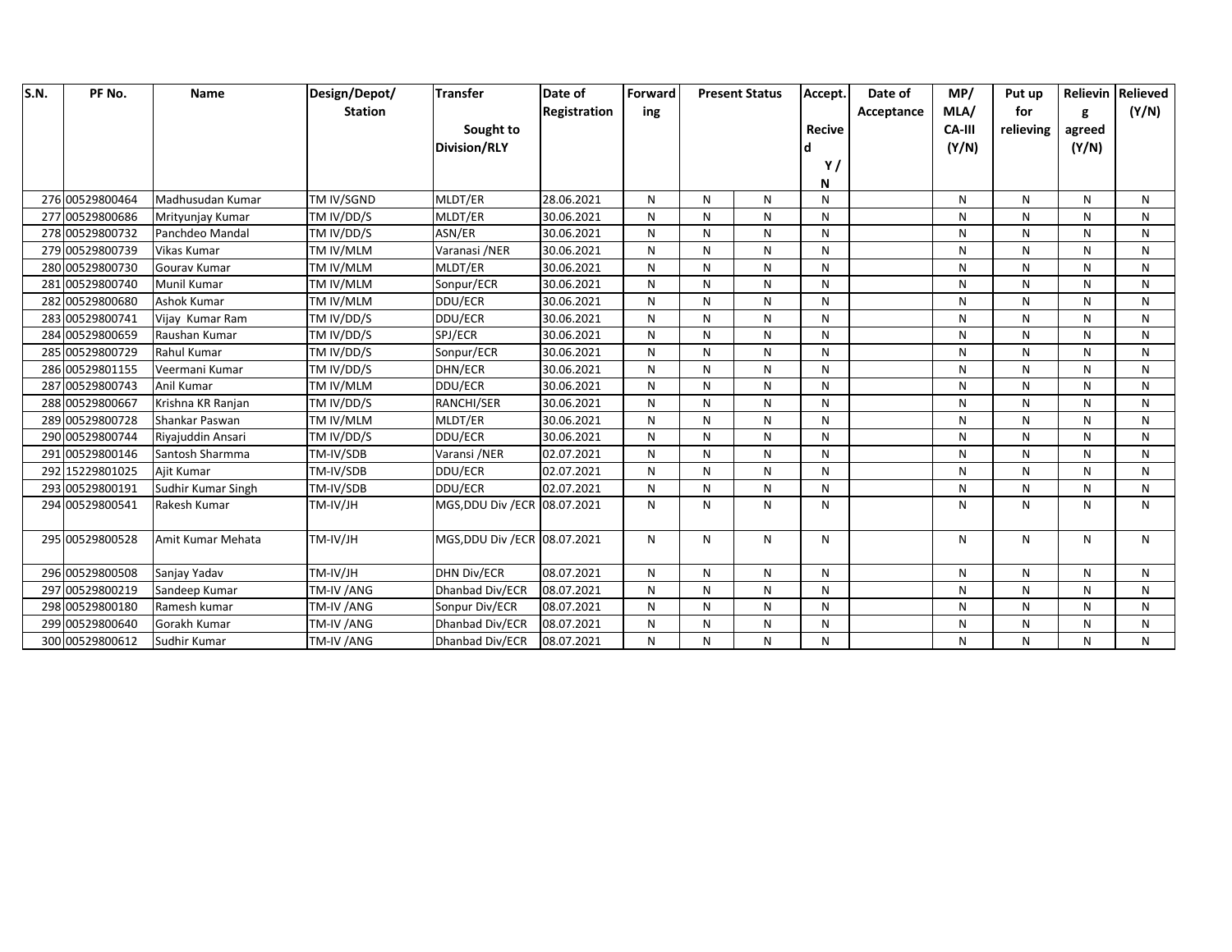| S.N. | PF No.          | <b>Name</b>        | Design/Depot/    | <b>Transfer</b>               | Date of      | Forward      |   | <b>Present Status</b> | Accept.       | Date of    | MP/           | Put up    |        | Relievin Relieved |
|------|-----------------|--------------------|------------------|-------------------------------|--------------|--------------|---|-----------------------|---------------|------------|---------------|-----------|--------|-------------------|
|      |                 |                    | <b>Station</b>   |                               | Registration | ing          |   |                       |               | Acceptance | MLA/          | for       | g      | (Y/N)             |
|      |                 |                    |                  | Sought to                     |              |              |   |                       | <b>Recive</b> |            | <b>CA-III</b> | relieving | agreed |                   |
|      |                 |                    |                  | <b>Division/RLY</b>           |              |              |   |                       |               |            | (Y/N)         |           | (Y/N)  |                   |
|      |                 |                    |                  |                               |              |              |   |                       | Y/            |            |               |           |        |                   |
|      |                 |                    |                  |                               |              |              |   |                       | N             |            |               |           |        |                   |
|      | 276 00529800464 | Madhusudan Kumar   | TM IV/SGND       | MLDT/ER                       | 28.06.2021   | N            | N | $\mathsf{N}$          | N             |            | N             | N         | N      | N                 |
|      | 277 00529800686 | Mrityunjay Kumar   | TM IV/DD/S       | MLDT/ER                       | 30.06.2021   | N            | N | ${\sf N}$             | N             |            | N             | N         | N      | N                 |
|      | 278 00529800732 | Panchdeo Mandal    | TM IV/DD/S       | ASN/ER                        | 30.06.2021   | N            | N | N                     | N             |            | N             | N         | N      | N                 |
|      | 279 00529800739 | Vikas Kumar        | TM IV/MLM        | Varanasi /NER                 | 30.06.2021   | N            | N | ${\sf N}$             | N             |            | N             | N         | N      | N                 |
|      | 280 00529800730 | Gourav Kumar       | TM IV/MLM        | MLDT/ER                       | 30.06.2021   | N            | N | N                     | N             |            | N             | N         | N      | N                 |
|      | 281 00529800740 | Munil Kumar        | TM IV/MLM        | Sonpur/ECR                    | 30.06.2021   | N            | N | ${\sf N}$             | N             |            | N             | N         | N      | N                 |
|      | 282 00529800680 | Ashok Kumar        | TM IV/MLM        | DDU/ECR                       | 30.06.2021   | N            | N | $\mathsf{N}$          | N             |            | N             | N         | N      | N                 |
|      | 283 00529800741 | Vijay Kumar Ram    | TM IV/DD/S       | DDU/ECR                       | 30.06.2021   | N            | N | $\mathsf{N}$          | N             |            | N             | N         | N      | $\mathsf{N}$      |
|      | 284 00529800659 | Raushan Kumar      | TM IV/DD/S       | SPJ/ECR                       | 30.06.2021   | N            | N | N                     | N             |            | N             | N         | N      | N                 |
|      | 285 00529800729 | <b>Rahul Kumar</b> | TM IV/DD/S       | Sonpur/ECR                    | 30.06.2021   | N            | N | N                     | N             |            | N             | N         | N      | N                 |
|      | 286 00529801155 | Veermani Kumar     | TM IV/DD/S       | DHN/ECR                       | 30.06.2021   | N            | N | ${\sf N}$             | N             |            | N             | N         | N      | N                 |
|      | 287 00529800743 | Anil Kumar         | TM IV/MLM        | DDU/ECR                       | 30.06.2021   | N            | N | N                     | N             |            | N             | N         | N      | N                 |
|      | 288 00529800667 | Krishna KR Ranjan  | TM IV/DD/S       | RANCHI/SER                    | 30.06.2021   | N            | N | ${\sf N}$             | N             |            | N             | N         | N      | N                 |
|      | 289 00529800728 | Shankar Paswan     | <b>TM IV/MLM</b> | MLDT/ER                       | 30.06.2021   | N            | N | N                     | N             |            | N             | N         | N      | N                 |
|      | 290 00529800744 | Riyajuddin Ansari  | TM IV/DD/S       | DDU/ECR                       | 30.06.2021   | N            | N | $\mathsf{N}$          | N             |            | N             | N         | N      | $\mathsf{N}$      |
|      | 291 00529800146 | Santosh Sharmma    | TM-IV/SDB        | Varansi /NER                  | 02.07.2021   | $\mathsf{N}$ | N | N                     | N             |            | N             | N         | N      | $\mathsf{N}$      |
|      | 292 15229801025 | Ajit Kumar         | TM-IV/SDB        | DDU/ECR                       | 02.07.2021   | N            | N | N                     | N             |            | N             | N         | N      | $\mathsf{N}$      |
|      | 293 00529800191 | Sudhir Kumar Singh | TM-IV/SDB        | DDU/ECR                       | 02.07.2021   | N            | N | N                     | N             |            | N             | N         | N      | N                 |
|      | 294 00529800541 | Rakesh Kumar       | TM-IV/JH         | MGS, DDU Div / ECR 08.07.2021 |              | N            | N | N                     | N             |            | N             | N         | N      | N                 |
|      | 295 00529800528 | Amit Kumar Mehata  | TM-IV/JH         | MGS, DDU Div / ECR 08.07.2021 |              | N            | N | N                     | N             |            | N             | N         | N      | N                 |
|      | 296 00529800508 | Sanjay Yadav       | TM-IV/JH         | <b>DHN Div/ECR</b>            | 08.07.2021   | N            | N | N                     | N             |            | N             | N         | N      | N                 |
|      | 297 00529800219 | Sandeep Kumar      | TM-IV / ANG      | Dhanbad Div/ECR               | 08.07.2021   | N            | N | N                     | N             |            | N             | N         | N      | $\mathsf{N}$      |
|      | 298 00529800180 | Ramesh kumar       | TM-IV /ANG       | Sonpur Div/ECR                | 08.07.2021   | N            | N | N                     | N             |            | N             | N         | N      | N                 |
|      | 299 00529800640 | Gorakh Kumar       | TM-IV / ANG      | Dhanbad Div/ECR               | 08.07.2021   | N            | N | N                     | N             |            | N             | N         | N      | N                 |
|      | 300 00529800612 | Sudhir Kumar       | TM-IV / ANG      | Dhanbad Div/ECR               | 08.07.2021   | N            | N | N                     | N             |            | N             | N         | N      | N                 |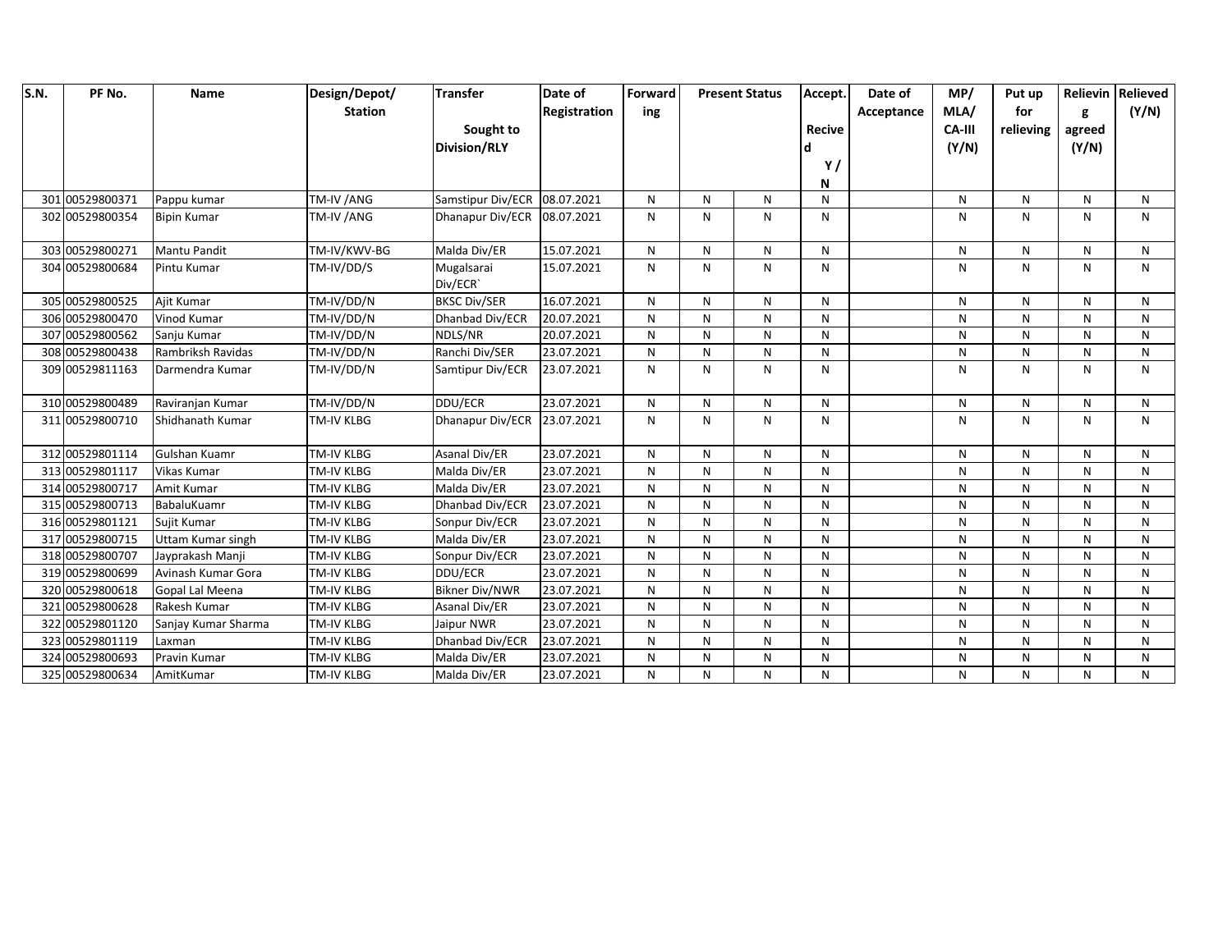| S.N. | PF No.          | <b>Name</b>         | Design/Depot/     | <b>Transfer</b>       | Date of      | Forward | <b>Present Status</b> |   | Accept.       | Date of    | MP/    | Put up       |        | Relievin Relieved |
|------|-----------------|---------------------|-------------------|-----------------------|--------------|---------|-----------------------|---|---------------|------------|--------|--------------|--------|-------------------|
|      |                 |                     | <b>Station</b>    |                       | Registration | ing     |                       |   |               | Acceptance | MLA/   | for          | g      | (Y/N)             |
|      |                 |                     |                   | Sought to             |              |         |                       |   | <b>Recive</b> |            | CA-III | relieving    | agreed |                   |
|      |                 |                     |                   | <b>Division/RLY</b>   |              |         |                       |   |               |            | (Y/N)  |              | (Y/N)  |                   |
|      |                 |                     |                   |                       |              |         |                       |   | Y/            |            |        |              |        |                   |
|      |                 |                     |                   |                       |              |         |                       |   | N             |            |        |              |        |                   |
|      | 301 00529800371 | Pappu kumar         | TM-IV /ANG        | Samstipur Div/ECR     | 08.07.2021   | N       | N                     | N | N             |            | N      | N            | N      | N                 |
|      | 302 00529800354 | <b>Bipin Kumar</b>  | TM-IV /ANG        | Dhanapur Div/ECR      | 08.07.2021   | N       | $\mathsf{N}$          | N | N             |            | N      | N            | N      | $\mathsf{N}$      |
|      | 303 00529800271 | <b>Mantu Pandit</b> | TM-IV/KWV-BG      | Malda Div/ER          | 15.07.2021   | N       | ${\sf N}$             | N | N             |            | N      | N            | N      | N                 |
|      | 304 00529800684 | Pintu Kumar         | TM-IV/DD/S        | Mugalsarai            | 15.07.2021   | N       | N                     | N | N             |            | N      | $\mathsf{N}$ | N      | N                 |
|      |                 |                     |                   | Div/ECR`              |              |         |                       |   |               |            |        |              |        |                   |
|      | 305 00529800525 | Ajit Kumar          | TM-IV/DD/N        | <b>BKSC Div/SER</b>   | 16.07.2021   | N       | $\mathsf{N}$          | N | N             |            | N      | N            | N      | N                 |
|      | 306 00529800470 | Vinod Kumar         | TM-IV/DD/N        | Dhanbad Div/ECR       | 20.07.2021   | N       | ${\sf N}$             | N | N             |            | N      | N            | N      | N                 |
|      | 307 00529800562 | Sanju Kumar         | TM-IV/DD/N        | NDLS/NR               | 20.07.2021   | N       | $\mathsf{N}$          | N | N             |            | N      | N            | N      | $\mathsf{N}$      |
|      | 308 00529800438 | Rambriksh Ravidas   | TM-IV/DD/N        | Ranchi Div/SER        | 23.07.2021   | N       | ${\sf N}$             | N | N             |            | N      | N            | N      | N                 |
|      | 309 00529811163 | Darmendra Kumar     | TM-IV/DD/N        | Samtipur Div/ECR      | 23.07.2021   | N       | N                     | N | N             |            | N      | $\mathsf{N}$ | N      | N                 |
|      | 310 00529800489 | Raviranjan Kumar    | TM-IV/DD/N        | DDU/ECR               | 23.07.2021   | N       | $\mathsf{N}$          | N | N             |            | N      | N            | N      | N                 |
|      | 311 00529800710 | Shidhanath Kumar    | TM-IV KLBG        | Dhanapur Div/ECR      | 23.07.2021   | N       | N                     | N | N             |            | N      | N            | N      | N                 |
|      | 312 00529801114 | Gulshan Kuamr       | TM-IV KLBG        | Asanal Div/ER         | 23.07.2021   | N       | $\mathsf{N}$          | N | N             |            | N      | N            | N      | $\mathsf{N}$      |
|      | 313 00529801117 | Vikas Kumar         | TM-IV KLBG        | Malda Div/ER          | 23.07.2021   | N       | ${\sf N}$             | N | N             |            | N      | N            | N      | N                 |
|      | 314 00529800717 | Amit Kumar          | TM-IV KLBG        | Malda Div/ER          | 23.07.2021   | N       | N                     | N | N             |            | N      | N            | N      | $\mathsf{N}$      |
|      | 315 00529800713 | BabaluKuamr         | <b>TM-IV KLBG</b> | Dhanbad Div/ECR       | 23.07.2021   | N       | N                     | N | N             |            | N      | N            | N      | N                 |
|      | 316 00529801121 | Suiit Kumar         | <b>TM-IV KLBG</b> | Sonpur Div/ECR        | 23.07.2021   | N       | $\mathsf{N}$          | N | N             |            | N      | N.           | N      | $\mathsf{N}$      |
|      | 317 00529800715 | Uttam Kumar singh   | <b>TM-IV KLBG</b> | Malda Div/ER          | 23.07.2021   | N       | $\mathsf{N}$          | N | N             |            | N      | N            | N      | N                 |
|      | 318 00529800707 | Jayprakash Manji    | <b>TM-IV KLBG</b> | Sonpur Div/ECR        | 23.07.2021   | N       | N                     | N | N             |            | N      | N            | N      | N                 |
|      | 319 00529800699 | Avinash Kumar Gora  | <b>TM-IV KLBG</b> | DDU/ECR               | 23.07.2021   | N       | N                     | N | N             |            | N      | N            | N      | N                 |
|      | 320 00529800618 | Gopal Lal Meena     | TM-IV KLBG        | <b>Bikner Div/NWR</b> | 23.07.2021   | N       | ${\sf N}$             | N | N             |            | N      | N            | N      | $\mathsf{N}$      |
|      | 321 00529800628 | Rakesh Kumar        | TM-IV KLBG        | Asanal Div/ER         | 23.07.2021   | N       | $\mathsf{N}$          | N | N             |            | N      | N            | N      | N                 |
|      | 322 00529801120 | Sanjay Kumar Sharma | <b>TM-IV KLBG</b> | Jaipur NWR            | 23.07.2021   | N       | N                     | N | N             |            | N      | N            | N      | N                 |
|      | 323 00529801119 | Laxman              | TM-IV KLBG        | Dhanbad Div/ECR       | 23.07.2021   | N       | N                     | N | N             |            | N      | N            | N      | N                 |
|      | 324 00529800693 | Pravin Kumar        | TM-IV KLBG        | Malda Div/ER          | 23.07.2021   | N       | N                     | N | N             |            | N      | N            | N      | $\mathsf{N}$      |
|      | 325 00529800634 | AmitKumar           | <b>TM-IV KLBG</b> | Malda Div/ER          | 23.07.2021   | N       | $\mathsf{N}$          | N | N             |            | N      | N            | N      | $\mathsf{N}$      |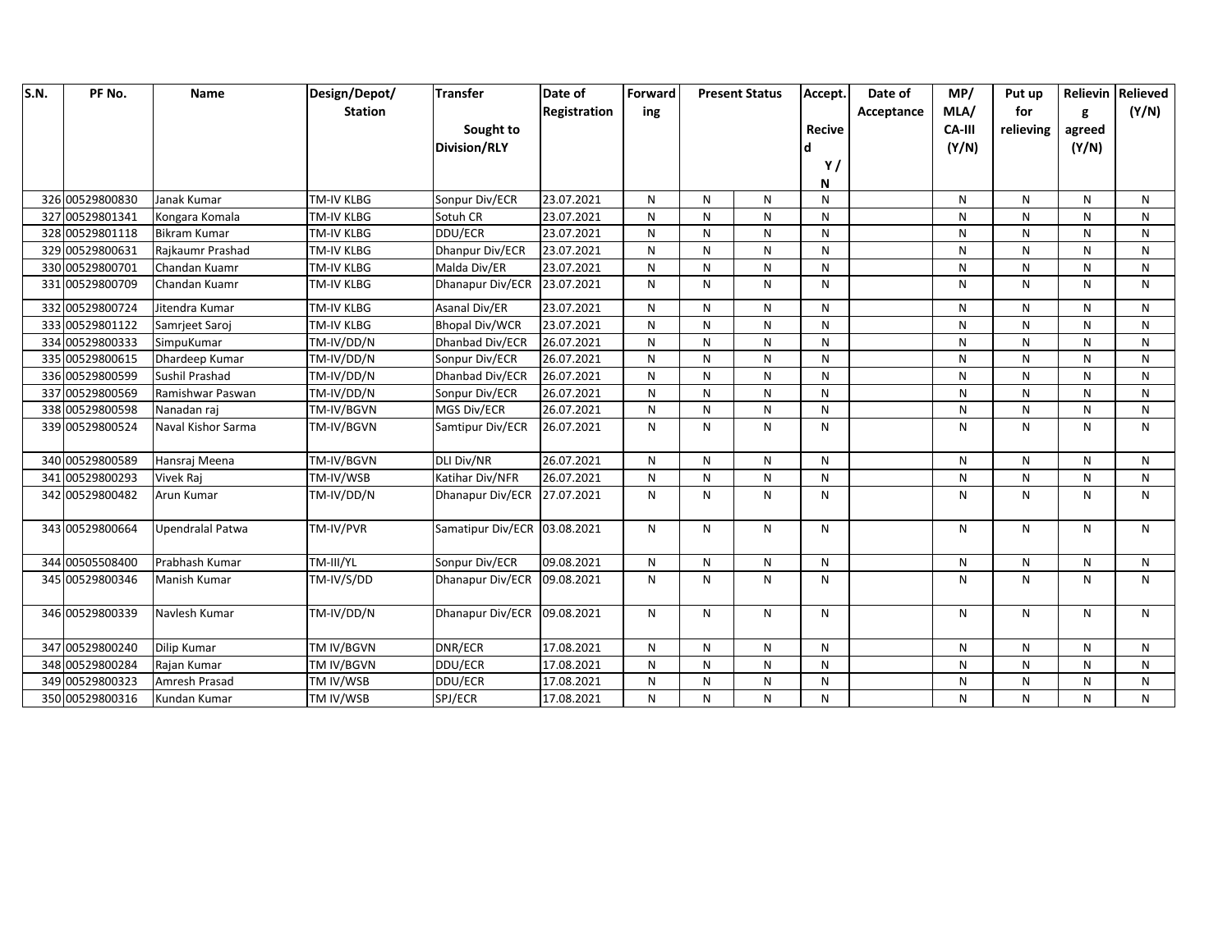| S.N. | PF No.          | Name                | Design/Depot/     | <b>Transfer</b>              | Date of             | Forward      | <b>Present Status</b> |              | Accept.       | Date of    | MP/    | Put up    |              | Relievin Relieved |
|------|-----------------|---------------------|-------------------|------------------------------|---------------------|--------------|-----------------------|--------------|---------------|------------|--------|-----------|--------------|-------------------|
|      |                 |                     | <b>Station</b>    |                              | <b>Registration</b> | ing          |                       |              |               | Acceptance | MLA/   | for       | g            | (Y/N)             |
|      |                 |                     |                   | Sought to                    |                     |              |                       |              | <b>Recive</b> |            | CA-III | relieving | agreed       |                   |
|      |                 |                     |                   | <b>Division/RLY</b>          |                     |              |                       |              |               |            | (Y/N)  |           | (Y/N)        |                   |
|      |                 |                     |                   |                              |                     |              |                       |              | Y/            |            |        |           |              |                   |
|      |                 |                     |                   |                              |                     |              |                       |              | N             |            |        |           |              |                   |
|      | 326 00529800830 | Janak Kumar         | <b>TM-IV KLBG</b> | Sonpur Div/ECR               | 23.07.2021          | N            | N                     | N            | N             |            | N      | N         | N            | N                 |
|      | 327 00529801341 | Kongara Komala      | <b>TM-IV KLBG</b> | Sotuh CR                     | 23.07.2021          | N            | N                     | N            | N             |            | N      | N         | N            | N                 |
|      | 328 00529801118 | <b>Bikram Kumar</b> | <b>TM-IV KLBG</b> | DDU/ECR                      | 23.07.2021          | N            | N                     | N            | N             |            | N      | N         | $\mathsf{N}$ | N                 |
|      | 329 00529800631 | Rajkaumr Prashad    | TM-IV KLBG        | Dhanpur Div/ECR              | 23.07.2021          | N            | N                     | ${\sf N}$    | N             |            | N      | N         | $\mathsf{N}$ | N                 |
|      | 330 00529800701 | Chandan Kuamr       | <b>TM-IV KLBG</b> | Malda Div/ER                 | 23.07.2021          | $\mathsf{N}$ | ${\sf N}$             | ${\sf N}$    | $\mathsf{N}$  |            | N      | N         | $\mathsf{N}$ | $\mathsf{N}$      |
|      | 331 00529800709 | Chandan Kuamr       | <b>TM-IV KLBG</b> | Dhanapur Div/ECR             | 23.07.2021          | $\mathsf{N}$ | N                     | N            | N             |            | N      | N         | $\mathsf{N}$ | $\mathsf{N}$      |
|      | 332 00529800724 | Jitendra Kumar      | <b>TM-IV KLBG</b> | Asanal Div/ER                | 23.07.2021          | $\mathsf{N}$ | N                     | $\mathsf{N}$ | N             |            | N      | N         | N            | N                 |
|      | 333 00529801122 | Samrjeet Saroj      | TM-IV KLBG        | <b>Bhopal Div/WCR</b>        | 23.07.2021          | N            | N                     | N            | N             |            | N      | N         | N            | N                 |
|      | 334 00529800333 | SimpuKumar          | TM-IV/DD/N        | Dhanbad Div/ECR              | 26.07.2021          | N            | N                     | N            | N             |            | N      | N         | $\mathsf{N}$ | $\mathsf{N}$      |
|      | 335 00529800615 | Dhardeep Kumar      | TM-IV/DD/N        | Sonpur Div/ECR               | 26.07.2021          | $\mathsf{N}$ | ${\sf N}$             | ${\sf N}$    | N             |            | N      | N         | $\mathsf{N}$ | ${\sf N}$         |
|      | 336 00529800599 | Sushil Prashad      | TM-IV/DD/N        | Dhanbad Div/ECR              | 26.07.2021          | $\mathsf{N}$ | ${\sf N}$             | ${\sf N}$    | N             |            | N      | N         | $\mathsf{N}$ | ${\sf N}$         |
|      | 337 00529800569 | Ramishwar Paswan    | TM-IV/DD/N        | Sonpur Div/ECR               | 26.07.2021          | N            | ${\sf N}$             | $\mathsf{N}$ | N             |            | N      | N         | $\mathsf{N}$ | $\mathsf{N}$      |
|      | 338 00529800598 | Nanadan raj         | TM-IV/BGVN        | MGS Div/ECR                  | 26.07.2021          | N            | ${\sf N}$             | ${\sf N}$    | N             |            | N      | N         | ${\sf N}$    | N                 |
|      | 339 00529800524 | Naval Kishor Sarma  | TM-IV/BGVN        | Samtipur Div/ECR             | 26.07.2021          | N            | N                     | $\mathsf{N}$ | N             |            | N      | N         | N            | $\mathsf{N}$      |
|      | 340 00529800589 | Hansraj Meena       | TM-IV/BGVN        | <b>DLI Div/NR</b>            | 26.07.2021          | N            | N                     | N            | N             |            | N      | N         | N            | $\mathsf{N}$      |
|      | 341 00529800293 | Vivek Raj           | TM-IV/WSB         | Katihar Div/NFR              | 26.07.2021          | N            | ${\sf N}$             | N            | N             |            | N      | N         | N            | N                 |
|      | 342 00529800482 | Arun Kumar          | TM-IV/DD/N        | Dhanapur Div/ECR             | 27.07.2021          | N            | N                     | N            | N             |            | N      | N         | N            | N                 |
|      | 343 00529800664 | Upendralal Patwa    | TM-IV/PVR         | Samatipur Div/ECR 03.08.2021 |                     | N            | N                     | N            | N             |            | N      | N         | N            | N                 |
|      | 344 00505508400 | Prabhash Kumar      | TM-III/YL         | Sonpur Div/ECR               | 09.08.2021          | N            | N                     | N            | N             |            | N      | N         | N            | N                 |
|      | 345 00529800346 | Manish Kumar        | TM-IV/S/DD        | Dhanapur Div/ECR             | 09.08.2021          | N            | N                     | $\mathsf{N}$ | N             |            | N      | N         | N            | N                 |
|      | 346 00529800339 | Navlesh Kumar       | TM-IV/DD/N        | Dhanapur Div/ECR 09.08.2021  |                     | N            | N                     | N            | N             |            | N      | N         | N            | N                 |
|      | 347 00529800240 | Dilip Kumar         | TM IV/BGVN        | DNR/ECR                      | 17.08.2021          | N            | ${\sf N}$             | $\mathsf{N}$ | N             |            | N      | N         | N            | ${\sf N}$         |
|      | 348 00529800284 | Rajan Kumar         | TM IV/BGVN        | DDU/ECR                      | 17.08.2021          | N            | N                     | N            | N             |            | N      | N         | $\mathsf{N}$ | $\mathsf{N}$      |
|      | 349 00529800323 | Amresh Prasad       | TM IV/WSB         | DDU/ECR                      | 17.08.2021          | N            | N                     | $\mathsf{N}$ | N             |            | N      | N         | N            | N                 |
|      | 350 00529800316 | Kundan Kumar        | TM IV/WSB         | SPJ/ECR                      | 17.08.2021          | N            | N                     | N            | N             |            | N      | N         | N            | N                 |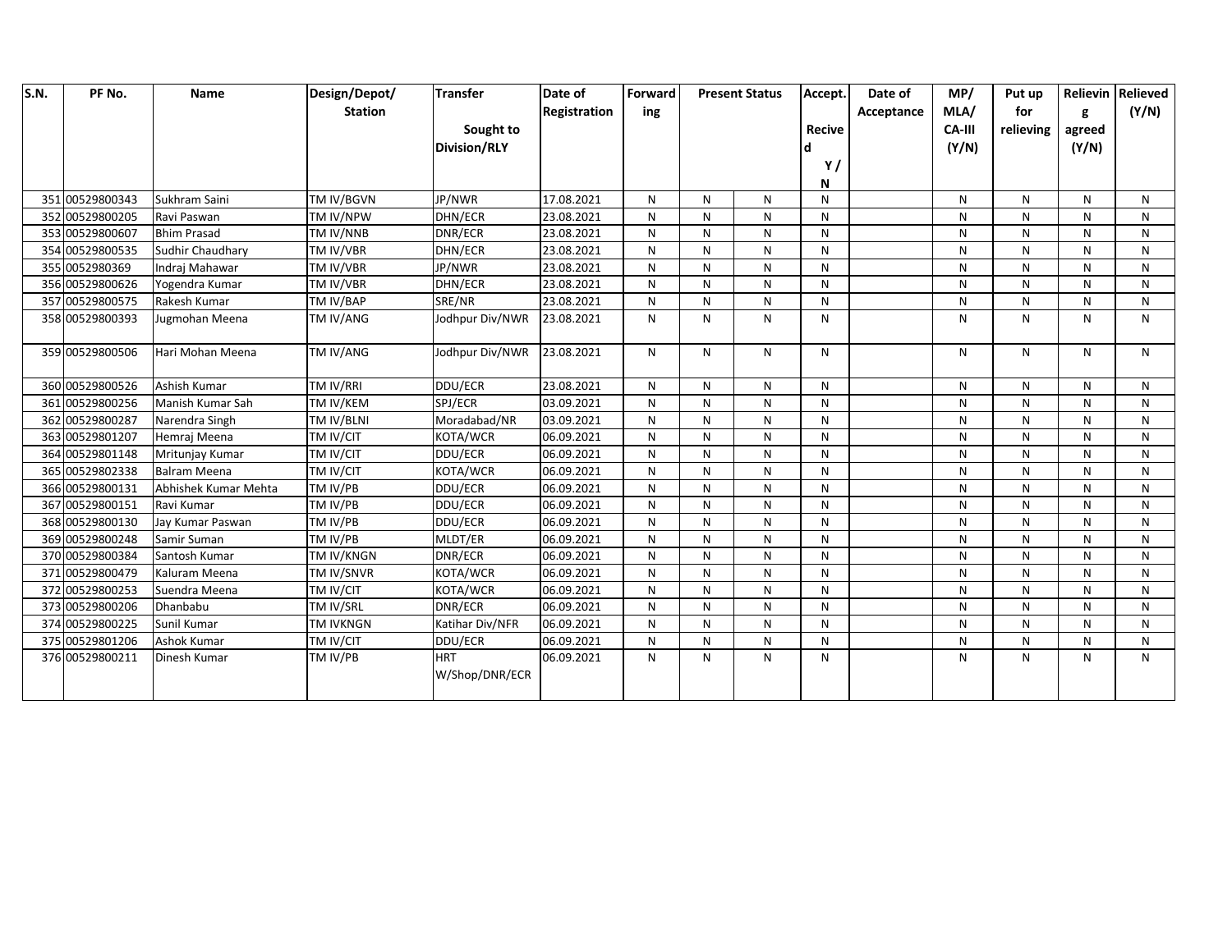| <b>S.N.</b> | PF No.          | Name                 | Design/Depot/    | <b>Transfer</b>              | Date of             | Forward | <b>Present Status</b> |              | Accept.       | Date of    | MP/    | Put up    |              | Relievin Relieved |
|-------------|-----------------|----------------------|------------------|------------------------------|---------------------|---------|-----------------------|--------------|---------------|------------|--------|-----------|--------------|-------------------|
|             |                 |                      | <b>Station</b>   |                              | <b>Registration</b> | ing     |                       |              |               | Acceptance | MLA/   | for       | g            | (Y/N)             |
|             |                 |                      |                  | Sought to                    |                     |         |                       |              | <b>Recive</b> |            | CA-III | relieving | agreed       |                   |
|             |                 |                      |                  | <b>Division/RLY</b>          |                     |         |                       |              |               |            | (Y/N)  |           | (Y/N)        |                   |
|             |                 |                      |                  |                              |                     |         |                       |              | Y/            |            |        |           |              |                   |
|             |                 |                      |                  |                              |                     |         |                       |              | N             |            |        |           |              |                   |
|             | 351 00529800343 | Sukhram Saini        | TM IV/BGVN       | JP/NWR                       | 17.08.2021          | N       | N                     | N            | N             |            | N      | N         | N            | N                 |
|             | 352 00529800205 | Ravi Paswan          | TM IV/NPW        | DHN/ECR                      | 23.08.2021          | N       | N                     | N            | N             |            | N      | N         | N            | N                 |
|             | 353 00529800607 | <b>Bhim Prasad</b>   | TM IV/NNB        | DNR/ECR                      | 23.08.2021          | N       | N                     | N            | N             |            | N      | N         | N            | N                 |
|             | 354 00529800535 | Sudhir Chaudhary     | TM IV/VBR        | DHN/ECR                      | 23.08.2021          | N       | N                     | N            | N             |            | N      | N         | N            | N                 |
|             | 355 0052980369  | Indraj Mahawar       | TM IV/VBR        | JP/NWR                       | 23.08.2021          | N       | N                     | N            | N             |            | N      | N         | N            | N                 |
|             | 356 00529800626 | Yogendra Kumar       | TM IV/VBR        | DHN/ECR                      | 23.08.2021          | N       | N                     | N            | N             |            | N      | N         | N            | N                 |
|             | 357 00529800575 | Rakesh Kumar         | TM IV/BAP        | SRE/NR                       | 23.08.2021          | N       | N                     | N            | N             |            | N      | N         | N            | N                 |
|             | 358 00529800393 | Jugmohan Meena       | <b>TM IV/ANG</b> | Jodhpur Div/NWR              | 23.08.2021          | N       | N                     | $\mathsf{N}$ | N             |            | N      | N         | N            | N                 |
|             | 359 00529800506 | Hari Mohan Meena     | TM IV/ANG        | Jodhpur Div/NWR              | 23.08.2021          | N       | N                     | N            | N             |            | N      | N         | N            | N                 |
|             | 360 00529800526 | Ashish Kumar         | TM IV/RRI        | DDU/ECR                      | 23.08.2021          | N       | N                     | $\mathsf{N}$ | N             |            | N      | N         | N            | N                 |
|             | 361 00529800256 | Manish Kumar Sah     | TM IV/KEM        | SPJ/ECR                      | 03.09.2021          | N       | N                     | N            | N             |            | N      | N         | N            | N                 |
|             | 362 00529800287 | Narendra Singh       | TM IV/BLNI       | Moradabad/NR                 | 03.09.2021          | N       | N                     | $\mathsf{N}$ | N             |            | N      | N         | N            | N                 |
|             | 363 00529801207 | Hemraj Meena         | TM IV/CIT        | KOTA/WCR                     | 06.09.2021          | N       | N                     | N            | N             |            | N      | N         | N            | N                 |
|             | 364 00529801148 | Mritunjay Kumar      | TM IV/CIT        | DDU/ECR                      | 06.09.2021          | N       | N                     | N            | N             |            | N      | N         | N            | N                 |
|             | 365 00529802338 | <b>Balram Meena</b>  | TM IV/CIT        | KOTA/WCR                     | 06.09.2021          | N       | N                     | N            | N             |            | N      | N         | $\mathsf{N}$ | $\mathsf{N}$      |
|             | 366 00529800131 | Abhishek Kumar Mehta | TM IV/PB         | DDU/ECR                      | 06.09.2021          | N       | N                     | N            | N             |            | N      | N         | $\mathsf{N}$ | N                 |
|             | 367 00529800151 | Ravi Kumar           | TM IV/PB         | DDU/ECR                      | 06.09.2021          | N       | N                     | N            | N             |            | N      | N         | N            | N                 |
|             | 368 00529800130 | Jay Kumar Paswan     | TM IV/PB         | DDU/ECR                      | 06.09.2021          | N       | N                     | N            | N             |            | N      | N         | N            | N                 |
|             | 369 00529800248 | Samir Suman          | TM IV/PB         | MLDT/ER                      | 06.09.2021          | N       | ${\sf N}$             | $\mathsf{N}$ | N             |            | N      | N         | N            | N                 |
|             | 370 00529800384 | Santosh Kumar        | TM IV/KNGN       | DNR/ECR                      | 06.09.2021          | N       | N                     | N            | N             |            | N      | N         | N            | N                 |
|             | 371 00529800479 | Kaluram Meena        | TM IV/SNVR       | KOTA/WCR                     | 06.09.2021          | N       | N                     | N            | N             |            | N      | N         | N            | N                 |
|             | 372 00529800253 | Suendra Meena        | TM IV/CIT        | KOTA/WCR                     | 06.09.2021          | N       | N                     | N            | N             |            | N      | N         | N            | N                 |
|             | 373 00529800206 | Dhanbabu             | TM IV/SRL        | DNR/ECR                      | 06.09.2021          | N       | N                     | N            | N             |            | N      | N         | N            | N                 |
|             | 374 00529800225 | Sunil Kumar          | <b>TM IVKNGN</b> | Katihar Div/NFR              | 06.09.2021          | N       | N                     | $\mathsf{N}$ | N             |            | N      | N         | N            | N                 |
|             | 375 00529801206 | Ashok Kumar          | TM IV/CIT        | DDU/ECR                      | 06.09.2021          | N       | N                     | N            | N             |            | N      | N         | N            | N                 |
|             | 376 00529800211 | Dinesh Kumar         | TM IV/PB         | <b>HRT</b><br>W/Shop/DNR/ECR | 06.09.2021          | N       | N                     | N            | ${\sf N}$     |            | N      | N         | N            | N                 |